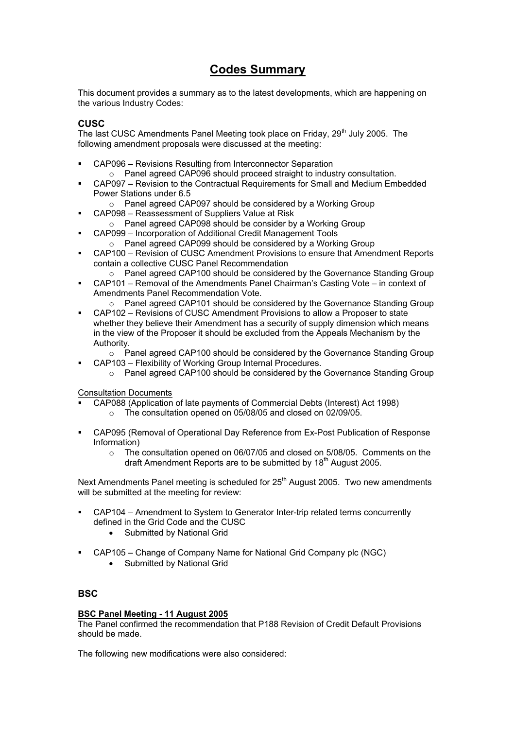# **Codes Summary**

This document provides a summary as to the latest developments, which are happening on the various Industry Codes:

### **CUSC**

The last CUSC Amendments Panel Meeting took place on Friday, 29<sup>th</sup> July 2005. The following amendment proposals were discussed at the meeting:

- CAP096 Revisions Resulting from Interconnector Separation
	- o Panel agreed CAP096 should proceed straight to industry consultation.
- CAP097 Revision to the Contractual Requirements for Small and Medium Embedded Power Stations under 6.5
	- o Panel agreed CAP097 should be considered by a Working Group
- CAP098 Reassessment of Suppliers Value at Risk
	- o Panel agreed CAP098 should be consider by a Working Group
- CAP099 Incorporation of Additional Credit Management Tools o Panel agreed CAP099 should be considered by a Working Group
- CAP100 Revision of CUSC Amendment Provisions to ensure that Amendment Reports contain a collective CUSC Panel Recommendation
- $\circ$  Panel agreed CAP100 should be considered by the Governance Standing Group CAP101 – Removal of the Amendments Panel Chairman's Casting Vote – in context of Amendments Panel Recommendation Vote.
	- $\circ$  Panel agreed CAP101 should be considered by the Governance Standing Group
- CAP102 Revisions of CUSC Amendment Provisions to allow a Proposer to state whether they believe their Amendment has a security of supply dimension which means in the view of the Proposer it should be excluded from the Appeals Mechanism by the Authority.
	- $\circ$  Panel agreed CAP100 should be considered by the Governance Standing Group CAP103 – Flexibility of Working Group Internal Procedures.
		- o Panel agreed CAP100 should be considered by the Governance Standing Group

Consultation Documents

- CAP088 (Application of late payments of Commercial Debts (Interest) Act 1998)
	- o The consultation opened on 05/08/05 and closed on 02/09/05.
- CAP095 (Removal of Operational Day Reference from Ex-Post Publication of Response Information)
	- $\circ$  The consultation opened on 06/07/05 and closed on 5/08/05. Comments on the draft Amendment Reports are to be submitted by 18<sup>th</sup> August 2005.

Next Amendments Panel meeting is scheduled for  $25<sup>th</sup>$  August 2005. Two new amendments will be submitted at the meeting for review:

- CAP104 Amendment to System to Generator Inter-trip related terms concurrently defined in the Grid Code and the CUSC
	- Submitted by National Grid
- CAP105 Change of Company Name for National Grid Company plc (NGC)
	- Submitted by National Grid

### **BSC**

### **BSC Panel Meeting - 11 August 2005**

The Panel confirmed the recommendation that P188 Revision of Credit Default Provisions should be made.

The following new modifications were also considered: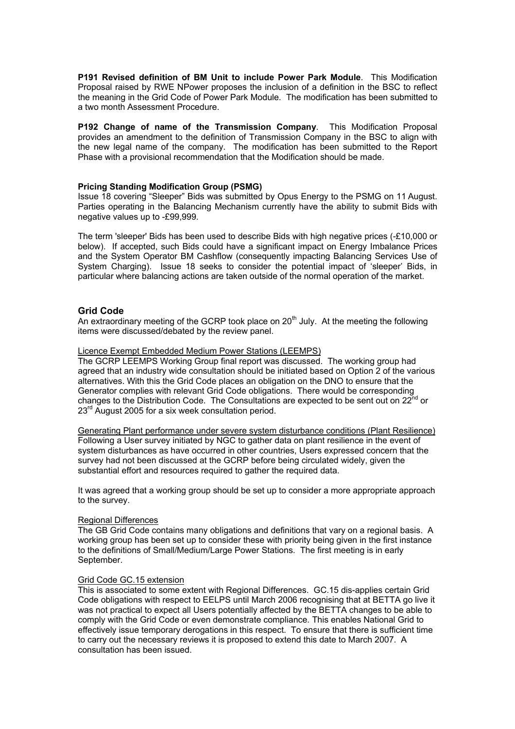**P191 Revised definition of BM Unit to include Power Park Module**. This Modification Proposal raised by RWE NPower proposes the inclusion of a definition in the BSC to reflect the meaning in the Grid Code of Power Park Module. The modification has been submitted to a two month Assessment Procedure.

**P192 Change of name of the Transmission Company**. This Modification Proposal provides an amendment to the definition of Transmission Company in the BSC to align with the new legal name of the company. The modification has been submitted to the Report Phase with a provisional recommendation that the Modification should be made.

#### **Pricing Standing Modification Group (PSMG)**

Issue 18 covering "Sleeper" Bids was submitted by Opus Energy to the PSMG on 11 August. Parties operating in the Balancing Mechanism currently have the ability to submit Bids with negative values up to -£99,999.

The term 'sleeper' Bids has been used to describe Bids with high negative prices (-£10,000 or below). If accepted, such Bids could have a significant impact on Energy Imbalance Prices and the System Operator BM Cashflow (consequently impacting Balancing Services Use of System Charging). Issue 18 seeks to consider the potential impact of 'sleeper' Bids, in particular where balancing actions are taken outside of the normal operation of the market.

### **Grid Code**

An extraordinary meeting of the GCRP took place on  $20<sup>th</sup>$  July. At the meeting the following items were discussed/debated by the review panel.

#### Licence Exempt Embedded Medium Power Stations (LEEMPS)

The GCRP LEEMPS Working Group final report was discussed. The working group had agreed that an industry wide consultation should be initiated based on Option 2 of the various alternatives. With this the Grid Code places an obligation on the DNO to ensure that the Generator complies with relevant Grid Code obligations. There would be corresponding changes to the Distribution Code. The Consultations are expected to be sent out on 22<sup>nd</sup> or  $23<sup>rd</sup>$  August 2005 for a six week consultation period.

Generating Plant performance under severe system disturbance conditions (Plant Resilience) Following a User survey initiated by NGC to gather data on plant resilience in the event of system disturbances as have occurred in other countries, Users expressed concern that the survey had not been discussed at the GCRP before being circulated widely, given the substantial effort and resources required to gather the required data.

It was agreed that a working group should be set up to consider a more appropriate approach to the survey.

### Regional Differences

The GB Grid Code contains many obligations and definitions that vary on a regional basis. A working group has been set up to consider these with priority being given in the first instance to the definitions of Small/Medium/Large Power Stations. The first meeting is in early September.

#### Grid Code GC.15 extension

This is associated to some extent with Regional Differences. GC.15 dis-applies certain Grid Code obligations with respect to EELPS until March 2006 recognising that at BETTA go live it was not practical to expect all Users potentially affected by the BETTA changes to be able to comply with the Grid Code or even demonstrate compliance*.* This enables National Grid to effectively issue temporary derogations in this respect. To ensure that there is sufficient time to carry out the necessary reviews it is proposed to extend this date to March 2007. A consultation has been issued.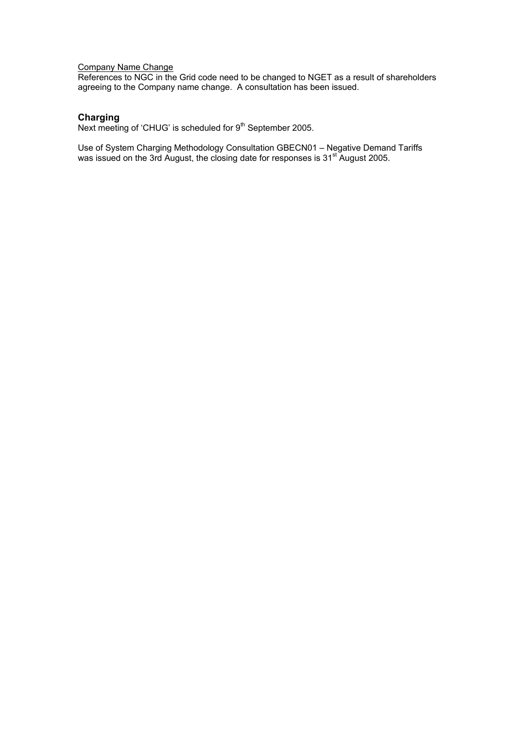#### Company Name Change

References to NGC in the Grid code need to be changed to NGET as a result of shareholders agreeing to the Company name change. A consultation has been issued.

### **Charging**

**Criarging**<br>Next meeting of 'CHUG' is scheduled for 9<sup>th</sup> September 2005.

Use of System Charging Methodology Consultation GBECN01 – Negative Demand Tariffs was issued on the 3rd August, the closing date for responses is  $31<sup>st</sup>$  August 2005.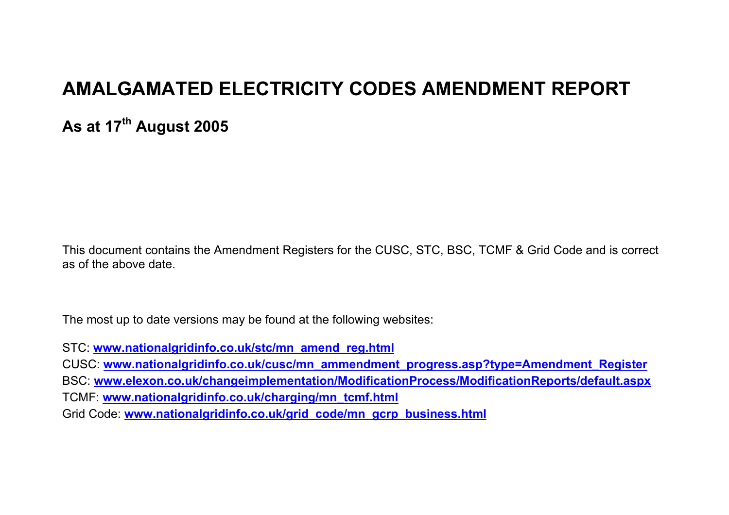# **AMALGAMATED ELECTRICITY CODES AMENDMENT REPORT**

**As at 17th August 2005** 

This document contains the Amendment Registers for the CUSC, STC, BSC, TCMF & Grid Code and is correct as of the above date.

The most up to date versions may be found at the following websites:

STC: **www.nationalgridinfo.co.uk/stc/mn\_amend\_reg.html**

CUSC: **www.nationalgridinfo.co.uk/cusc/mn\_ammendment\_progress.asp?type=Amendment\_Register** BSC: **www.elexon.co.uk/changeimplementation/ModificationProcess/ModificationReports/default.aspx** TCMF: **www.nationalgridinfo.co.uk/charging/mn\_tcmf.html**

Grid Code: **www.nationalgridinfo.co.uk/grid\_code/mn\_gcrp\_business.html**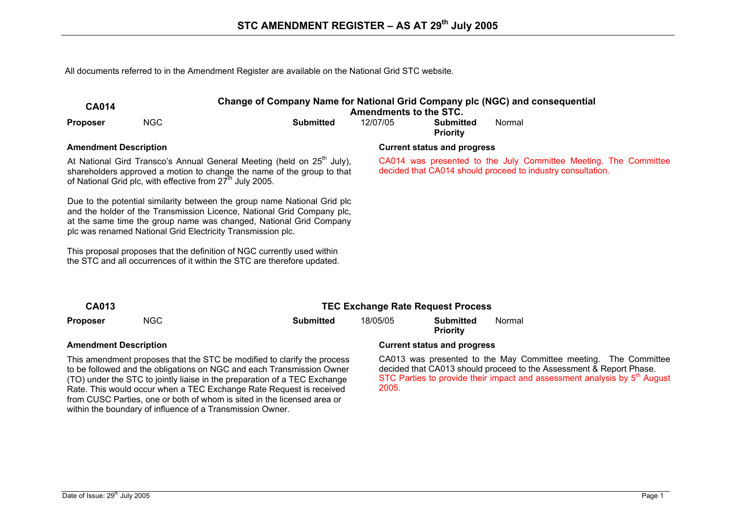All documents referred to in the Amendment Register are available on the National Grid STC website.

| <b>CA014</b>                 |                                                                                                                                                                                                                                                                                         | Change of Company Name for National Grid Company plc (NGC) and consequential<br><b>Amendments to the STC.</b> |          |                                    |                                                                                                                                 |  |  |  |
|------------------------------|-----------------------------------------------------------------------------------------------------------------------------------------------------------------------------------------------------------------------------------------------------------------------------------------|---------------------------------------------------------------------------------------------------------------|----------|------------------------------------|---------------------------------------------------------------------------------------------------------------------------------|--|--|--|
| <b>Proposer</b>              | <b>NGC</b>                                                                                                                                                                                                                                                                              | <b>Submitted</b>                                                                                              | 12/07/05 | Submitted<br><b>Priority</b>       | Normal                                                                                                                          |  |  |  |
| <b>Amendment Description</b> |                                                                                                                                                                                                                                                                                         |                                                                                                               |          | <b>Current status and progress</b> |                                                                                                                                 |  |  |  |
|                              | At National Gird Transco's Annual General Meeting (held on 25 <sup>th</sup> July),<br>shareholders approved a motion to change the name of the group to that<br>of National Grid plc, with effective from 27 <sup>th</sup> July 2005.                                                   |                                                                                                               |          |                                    | CA014 was presented to the July Committee Meeting. The Committee<br>decided that CA014 should proceed to industry consultation. |  |  |  |
|                              | Due to the potential similarity between the group name National Grid plc<br>and the holder of the Transmission Licence, National Grid Company plc,<br>at the same time the group name was changed, National Grid Company<br>plc was renamed National Grid Electricity Transmission plc. |                                                                                                               |          |                                    |                                                                                                                                 |  |  |  |
|                              | This proposal proposes that the definition of NGC currently used within<br>the STC and all occurrences of it within the STC are therefore updated.                                                                                                                                      |                                                                                                               |          |                                    |                                                                                                                                 |  |  |  |
|                              |                                                                                                                                                                                                                                                                                         |                                                                                                               |          |                                    |                                                                                                                                 |  |  |  |

| CA013           |            |           | TEC Exchange Rate Request Process |                                     |        |  |  |  |
|-----------------|------------|-----------|-----------------------------------|-------------------------------------|--------|--|--|--|
| <b>Proposer</b> | <b>NGC</b> | Submitted | 18/05/05                          | <b>Submitted</b><br><b>Priority</b> | Normal |  |  |  |
|                 |            |           |                                   |                                     |        |  |  |  |

This amendment proposes that the STC be modified to clarify the process to be followed and the obligations on NGC and each Transmission Owner (TO) under the STC to jointly liaise in the preparation of a TEC Exchange Rate. This would occur when a TEC Exchange Rate Request is received from CUSC Parties, one or both of whom is sited in the licensed area or within the boundary of influence of a Transmission Owner.

#### **Amendment Description Current status and progress**

CA013 was presented to the May Committee meeting. The Committee decided that CA013 should proceed to the Assessment & Report Phase. STC Parties to provide their impact and assessment analysis by 5<sup>th</sup> August 2005.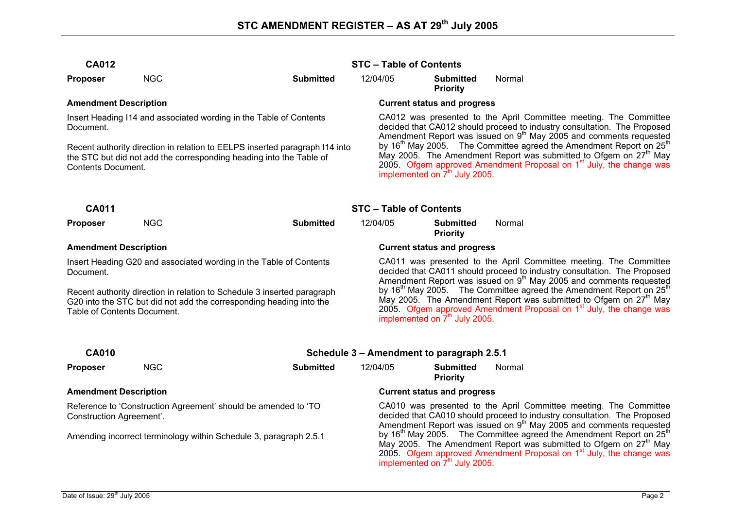| <b>CA012</b> | <b>STC - Table of Contents</b> |
|--------------|--------------------------------|
|              |                                |

**Proposer** NGC **Submitted** 12/04/05 **Submitted** 

**Priority** 

Insert Heading I14 and associated wording in the Table of Contents Document.

Recent authority direction in relation to EELPS inserted paragraph I14 into the STC but did not add the corresponding heading into the Table of Contents Document.

### Amendment Description **Amendment Description Current status and progress**

implemented on  $7<sup>th</sup>$  July 2005.

CA012 was presented to the April Committee meeting. The Committee decided that CA012 should proceed to industry consultation. The Proposed Amendment Report was issued on  $9<sup>th</sup>$  May 2005 and comments requested by 16<sup>th</sup> May 2005. The Committee agreed the Amendment Report on 25<sup>th</sup> May 2005. The Amendment Report was submitted to Ofgem on 27<sup>th</sup> May 2005. Ofgem approved Amendment Proposal on  $1<sup>st</sup>$  July, the change was implemented on  $7<sup>th</sup>$  July 2005.

Normal

| <b>CA011</b>                                                                                                                                                                  |            |                  |                                                                                                                                                                                                                                                                                |                                     |        |  |  |
|-------------------------------------------------------------------------------------------------------------------------------------------------------------------------------|------------|------------------|--------------------------------------------------------------------------------------------------------------------------------------------------------------------------------------------------------------------------------------------------------------------------------|-------------------------------------|--------|--|--|
| <b>Proposer</b>                                                                                                                                                               | <b>NGC</b> | <b>Submitted</b> | 12/04/05                                                                                                                                                                                                                                                                       | <b>Submitted</b><br><b>Priority</b> | Normal |  |  |
| <b>Amendment Description</b>                                                                                                                                                  |            |                  | <b>Current status and progress</b>                                                                                                                                                                                                                                             |                                     |        |  |  |
| Insert Heading G20 and associated wording in the Table of Contents<br>Document.                                                                                               |            |                  | CA011 was presented to the April Committee meeting. The Committee<br>decided that CA011 should proceed to industry consultation. The Proposed<br>Amendment Report was issued on 9 <sup>th</sup> May 2005 and comments requested                                                |                                     |        |  |  |
| Recent authority direction in relation to Schedule 3 inserted paragraph<br>G20 into the STC but did not add the corresponding heading into the<br>Table of Contents Document. |            |                  | by $16th$ May 2005. The Committee agreed the Amendment Report on $25th$<br>May 2005. The Amendment Report was submitted to Ofgem on 27 <sup>th</sup> May<br>2005. Ofgem approved Amendment Proposal on $1st$ July, the change was<br>implemented on 7 <sup>th</sup> July 2005. |                                     |        |  |  |

| <b>CA010</b>                                                                                      |            | Schedule 3 - Amendment to paragraph 2.5.1 |                                                                                                                                                                                                                                                                |                                     |        |  |  |  |
|---------------------------------------------------------------------------------------------------|------------|-------------------------------------------|----------------------------------------------------------------------------------------------------------------------------------------------------------------------------------------------------------------------------------------------------------------|-------------------------------------|--------|--|--|--|
| <b>Proposer</b>                                                                                   | <b>NGC</b> | <b>Submitted</b>                          | 12/04/05                                                                                                                                                                                                                                                       | <b>Submitted</b><br><b>Priority</b> | Normal |  |  |  |
| <b>Amendment Description</b>                                                                      |            |                                           | <b>Current status and progress</b>                                                                                                                                                                                                                             |                                     |        |  |  |  |
| Reference to 'Construction Agreement' should be amended to 'TO<br><b>Construction Agreement'.</b> |            |                                           | CA010 was presented to the April Committee meeting. The Committee<br>decided that CA010 should proceed to industry consultation. The Proposed<br>Amendment Report was issued on 9 <sup>th</sup> May 2005 and comments requested                                |                                     |        |  |  |  |
| Amending incorrect terminology within Schedule 3, paragraph 2.5.1                                 |            |                                           | by 16 <sup>th</sup> May 2005. The Committee agreed the Amendment Report on 25 <sup>th</sup><br>May 2005. The Amendment Report was submitted to Ofgem on $27^{\text{m}}$ May<br>2005. Ofgem approved Amendment Proposal on 1 <sup>st</sup> July, the change was |                                     |        |  |  |  |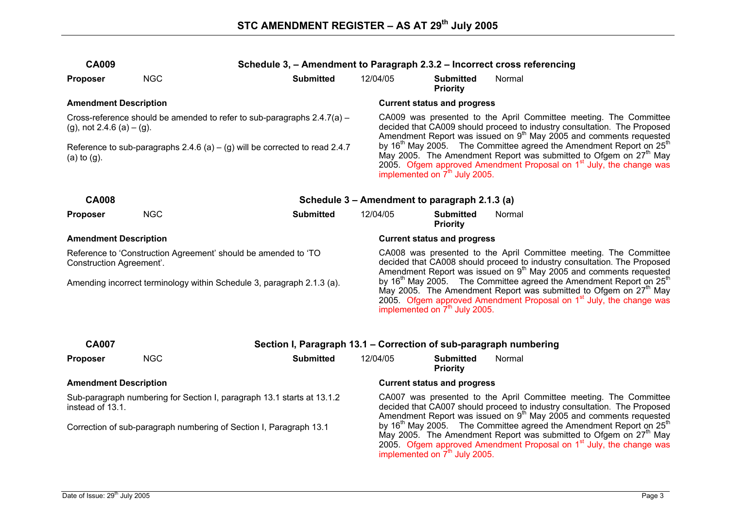| <b>CA009</b>                                                                                        |            | Schedule 3, - Amendment to Paragraph 2.3.2 - Incorrect cross referencing |                                                                                                                                                                                                                                 |                                                                                                                                                                                                                                                                                                              |                                     |        |  |  |
|-----------------------------------------------------------------------------------------------------|------------|--------------------------------------------------------------------------|---------------------------------------------------------------------------------------------------------------------------------------------------------------------------------------------------------------------------------|--------------------------------------------------------------------------------------------------------------------------------------------------------------------------------------------------------------------------------------------------------------------------------------------------------------|-------------------------------------|--------|--|--|
| <b>Proposer</b>                                                                                     | <b>NGC</b> | <b>Submitted</b>                                                         | 12/04/05                                                                                                                                                                                                                        |                                                                                                                                                                                                                                                                                                              | <b>Submitted</b><br><b>Priority</b> | Normal |  |  |
| <b>Amendment Description</b>                                                                        |            |                                                                          |                                                                                                                                                                                                                                 |                                                                                                                                                                                                                                                                                                              | <b>Current status and progress</b>  |        |  |  |
| (g), not 2.4.6 (a) $-$ (g).                                                                         |            | Cross-reference should be amended to refer to sub-paragraphs 2.4.7(a) -  | CA009 was presented to the April Committee meeting. The Committee<br>decided that CA009 should proceed to industry consultation. The Proposed<br>Amendment Report was issued on 9 <sup>th</sup> May 2005 and comments requested |                                                                                                                                                                                                                                                                                                              |                                     |        |  |  |
| Reference to sub-paragraphs $2.4.6$ (a) $-$ (g) will be corrected to read 2.4.7<br>$(a)$ to $(g)$ . |            |                                                                          |                                                                                                                                                                                                                                 | by 16 <sup>th</sup> May 2005. The Committee agreed the Amendment Report on 25 <sup>th</sup><br>May 2005. The Amendment Report was submitted to Ofgem on 27 <sup>th</sup> May<br>2005. Ofgem approved Amendment Proposal on 1 <sup>st</sup> July, the change was<br>implemented on 7 <sup>th</sup> July 2005. |                                     |        |  |  |
| <b>CA008</b>                                                                                        |            | Schedule 3 - Amendment to paragraph 2.1.3 (a)                            |                                                                                                                                                                                                                                 |                                                                                                                                                                                                                                                                                                              |                                     |        |  |  |
| <b>Proposer</b>                                                                                     | <b>NGC</b> | <b>Submitted</b>                                                         | 12/04/05                                                                                                                                                                                                                        |                                                                                                                                                                                                                                                                                                              | <b>Submitted</b><br><b>Priority</b> | Normal |  |  |
| <b>Amendment Description</b>                                                                        |            |                                                                          |                                                                                                                                                                                                                                 |                                                                                                                                                                                                                                                                                                              | <b>Current status and progress</b>  |        |  |  |
| Reference to 'Construction Agreement' should be amended to 'TO<br>Construction Agreement'.          |            |                                                                          |                                                                                                                                                                                                                                 | CA008 was presented to the April Committee meeting. The Committee<br>decided that CA008 should proceed to industry consultation. The Proposed<br>Amendment Report was issued on 9 <sup>th</sup> May 2005 and comments requested                                                                              |                                     |        |  |  |
| Amending incorrect terminology within Schedule 3, paragraph 2.1.3 (a).                              |            |                                                                          |                                                                                                                                                                                                                                 | by 16 <sup>th</sup> May 2005. The Committee agreed the Amendment Report on 25 <sup>th</sup><br>May 2005. The Amendment Report was submitted to Ofgem on 27 <sup>th</sup> May<br>2005. Ofgem approved Amendment Proposal on 1 <sup>st</sup> July, the change was<br>implemented on 7 <sup>th</sup> July 2005. |                                     |        |  |  |
| <b>CA007</b>                                                                                        |            | Section I, Paragraph 13.1 - Correction of sub-paragraph numbering        |                                                                                                                                                                                                                                 |                                                                                                                                                                                                                                                                                                              |                                     |        |  |  |
| <b>Proposer</b>                                                                                     | <b>NGC</b> | <b>Submitted</b>                                                         | 12/04/05                                                                                                                                                                                                                        |                                                                                                                                                                                                                                                                                                              | <b>Submitted</b><br><b>Priority</b> | Normal |  |  |
| <b>Amendment Description</b>                                                                        |            |                                                                          |                                                                                                                                                                                                                                 |                                                                                                                                                                                                                                                                                                              | <b>Current status and progress</b>  |        |  |  |
| Sub-paragraph numbering for Section I, paragraph 13.1 starts at 13.1.2<br>instead of 13.1.          |            |                                                                          |                                                                                                                                                                                                                                 | CA007 was presented to the April Committee meeting. The Committee<br>decided that CA007 should proceed to industry consultation. The Proposed<br>Amendment Report was issued on $9th$ May 2005 and comments requested                                                                                        |                                     |        |  |  |
| Correction of sub-paragraph numbering of Section I, Paragraph 13.1                                  |            |                                                                          |                                                                                                                                                                                                                                 | by 16 <sup>th</sup> May 2005. The Committee agreed the Amendment Report on 25 <sup>th</sup><br>May 2005. The Amendment Report was submitted to Ofgem on 27 <sup>th</sup> May                                                                                                                                 |                                     |        |  |  |

2005. Ofgem approved Amendment Proposal on  $1<sup>st</sup>$  July, the change was

implemented on  $7<sup>th</sup>$  July 2005.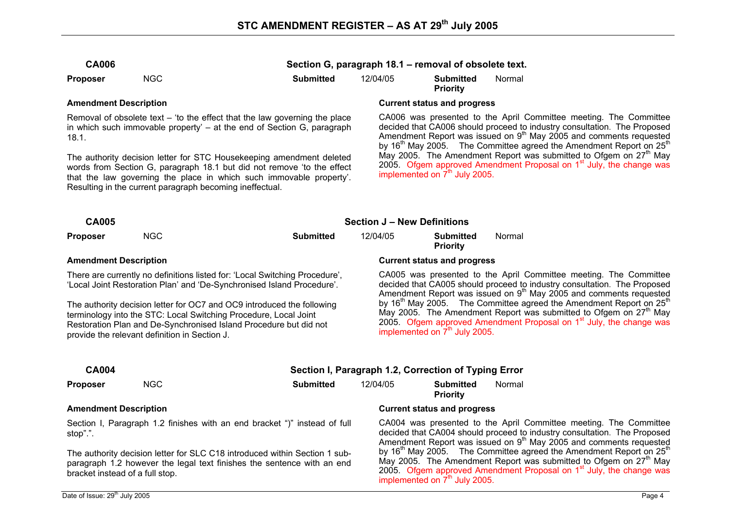**Priority** 

**CA006 Section G, paragraph 18.1 – removal of obsolete text.** 

**Proposer** NGC **Submitted** 12/04/05 **Submitted** 

| <b>Amendment Description</b>                                                                                                                                                                                                                                                      |            |                  |                                    | <b>Current status and progress</b>                                                                                                                                                                                                                                                                                   |        |  |  |
|-----------------------------------------------------------------------------------------------------------------------------------------------------------------------------------------------------------------------------------------------------------------------------------|------------|------------------|------------------------------------|----------------------------------------------------------------------------------------------------------------------------------------------------------------------------------------------------------------------------------------------------------------------------------------------------------------------|--------|--|--|
| Removal of obsolete text $-$ 'to the effect that the law governing the place<br>in which such immovable property' – at the end of Section G, paragraph<br>18.1.                                                                                                                   |            |                  |                                    | CA006 was presented to the April Committee meeting. The Committee<br>decided that CA006 should proceed to industry consultation. The Proposed<br>Amendment Report was issued on 9 <sup>th</sup> May 2005 and comments requested<br>by $16th$ May 2005. The Committee agreed the Amendment Report on 25 <sup>th</sup> |        |  |  |
| The authority decision letter for STC Housekeeping amendment deleted<br>words from Section G, paragraph 18.1 but did not remove 'to the effect<br>that the law governing the place in which such immovable property'.<br>Resulting in the current paragraph becoming ineffectual. |            |                  |                                    | May 2005. The Amendment Report was submitted to Ofgem on 27 <sup>th</sup> May<br>2005. Ofgem approved Amendment Proposal on 1 <sup>st</sup> July, the change was<br>implemented on $7th$ July 2005.                                                                                                                  |        |  |  |
| <b>CA005</b>                                                                                                                                                                                                                                                                      |            |                  | <b>Section J – New Definitions</b> |                                                                                                                                                                                                                                                                                                                      |        |  |  |
| <b>Proposer</b>                                                                                                                                                                                                                                                                   | <b>NGC</b> | <b>Submitted</b> | 12/04/05                           | <b>Submitted</b><br><b>Priority</b>                                                                                                                                                                                                                                                                                  | Normal |  |  |
| <b>Amendment Description</b>                                                                                                                                                                                                                                                      |            |                  | <b>Current status and progress</b> |                                                                                                                                                                                                                                                                                                                      |        |  |  |

There are currently no definitions listed for: 'Local Switching Procedure', 'Local Joint Restoration Plan' and 'De-Synchronised Island Procedure'.

The authority decision letter for OC7 and OC9 introduced the following terminology into the STC: Local Switching Procedure, Local Joint Restoration Plan and De-Synchronised Island Procedure but did not provide the relevant definition in Section J.

CA005 was presented to the April Committee meeting. The Committee decided that CA005 should proceed to industry consultation. The Proposed Amendment Report was issued on 9th May 2005 and comments requested by  $16<sup>th</sup>$  May 2005. The Committee agreed the Amendment Report on 25<sup>th</sup> May 2005. The Amendment Report was submitted to Ofgem on  $27<sup>th</sup>$  May 2005. Ofgem approved Amendment Proposal on  $1<sup>st</sup>$  July, the change was implemented on  $7<sup>th</sup>$  July 2005.

Normal

| <b>CA004</b>                                                                                                                                         |     |                                                                           | Section I, Paragraph 1.2, Correction of Typing Error |                                     |                                                                                                                                                     |  |
|------------------------------------------------------------------------------------------------------------------------------------------------------|-----|---------------------------------------------------------------------------|------------------------------------------------------|-------------------------------------|-----------------------------------------------------------------------------------------------------------------------------------------------------|--|
| <b>Proposer</b>                                                                                                                                      | NGC | <b>Submitted</b>                                                          | 12/04/05                                             | <b>Submitted</b><br><b>Priority</b> | Normal                                                                                                                                              |  |
| <b>Amendment Description</b>                                                                                                                         |     | <b>Current status and progress</b>                                        |                                                      |                                     |                                                                                                                                                     |  |
| stop".".                                                                                                                                             |     | Section I, Paragraph 1.2 finishes with an end bracket ")" instead of full |                                                      |                                     | CA004 was presented to the April Committe<br>decided that CA004 should proceed to industry<br>Amendment Report was issued on 9 <sup>th</sup> May 20 |  |
| The authority decision letter for SLC C18 introduced within Section 1 sub-<br>paragraph 1.2 however the legal text finishes the sentence with an end |     |                                                                           |                                                      |                                     | by $16^{\text{m}}$ May 2005. The Committee agreed the<br>May 2005. The Amendment Report was subre-                                                  |  |

ee meeting. The Committee / consultation. The Proposed 05 and comments requested e Amendment Report on 25<sup>th</sup> May 2005. The Amendment Report was submitted to Ofgem on 27<sup>th</sup> May 2005. Ofgem approved Amendment Proposal on  $1<sup>st</sup>$  July, the change was implemented on  $7<sup>th</sup>$  July 2005.

bracket instead of a full stop.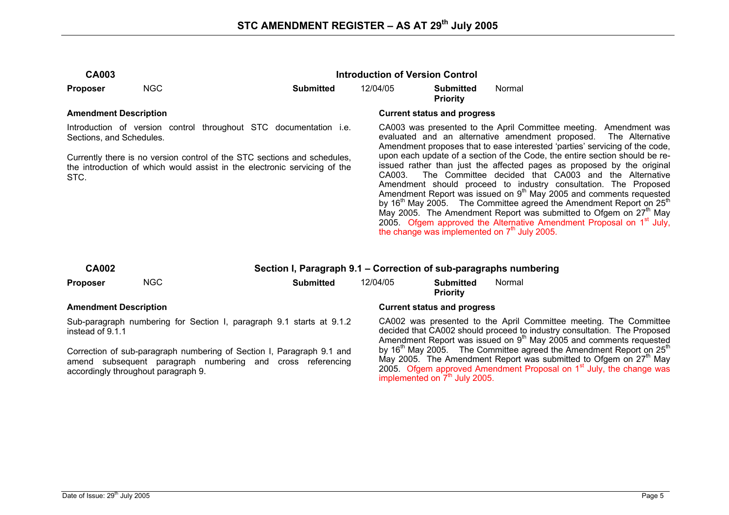| <b>CA003</b>                                                                                                                                                                                                                                                   |                                     |                                                                                                                                                                                                             |                                                                                                                                                                                                                                                                                                                                                                                                                                                                                                                                                                                                                                                                                                                                                                                                                                                                                                                | <b>Introduction of Version Control</b> |        |  |
|----------------------------------------------------------------------------------------------------------------------------------------------------------------------------------------------------------------------------------------------------------------|-------------------------------------|-------------------------------------------------------------------------------------------------------------------------------------------------------------------------------------------------------------|----------------------------------------------------------------------------------------------------------------------------------------------------------------------------------------------------------------------------------------------------------------------------------------------------------------------------------------------------------------------------------------------------------------------------------------------------------------------------------------------------------------------------------------------------------------------------------------------------------------------------------------------------------------------------------------------------------------------------------------------------------------------------------------------------------------------------------------------------------------------------------------------------------------|----------------------------------------|--------|--|
| <b>Proposer</b>                                                                                                                                                                                                                                                | <b>NGC</b>                          | <b>Submitted</b>                                                                                                                                                                                            | 12/04/05                                                                                                                                                                                                                                                                                                                                                                                                                                                                                                                                                                                                                                                                                                                                                                                                                                                                                                       | <b>Submitted</b><br><b>Priority</b>    | Normal |  |
| <b>Amendment Description</b>                                                                                                                                                                                                                                   |                                     |                                                                                                                                                                                                             |                                                                                                                                                                                                                                                                                                                                                                                                                                                                                                                                                                                                                                                                                                                                                                                                                                                                                                                | <b>Current status and progress</b>     |        |  |
| Introduction of version control throughout STC documentation i.e.<br>Sections, and Schedules.<br>Currently there is no version control of the STC sections and schedules,<br>the introduction of which would assist in the electronic servicing of the<br>STC. |                                     |                                                                                                                                                                                                             | CA003 was presented to the April Committee meeting. Amendment was<br>evaluated and an alternative amendment proposed. The Alternative<br>Amendment proposes that to ease interested 'parties' servicing of the code,<br>upon each update of a section of the Code, the entire section should be re-<br>issued rather than just the affected pages as proposed by the original<br>The Committee decided that CA003 and the Alternative<br>CA003.<br>Amendment should proceed to industry consultation. The Proposed<br>Amendment Report was issued on 9 <sup>th</sup> May 2005 and comments requested<br>by 16 <sup>th</sup> May 2005. The Committee agreed the Amendment Report on 25 <sup>th</sup><br>May 2005. The Amendment Report was submitted to Ofgem on $27m$ May<br>2005. Ofgem approved the Alternative Amendment Proposal on 1 <sup>st</sup> July,<br>the change was implemented on $7m$ July 2005. |                                        |        |  |
| <b>CA002</b>                                                                                                                                                                                                                                                   |                                     | Section I, Paragraph 9.1 – Correction of sub-paragraphs numbering                                                                                                                                           |                                                                                                                                                                                                                                                                                                                                                                                                                                                                                                                                                                                                                                                                                                                                                                                                                                                                                                                |                                        |        |  |
| <b>Proposer</b>                                                                                                                                                                                                                                                | <b>NGC</b>                          | <b>Submitted</b>                                                                                                                                                                                            | 12/04/05                                                                                                                                                                                                                                                                                                                                                                                                                                                                                                                                                                                                                                                                                                                                                                                                                                                                                                       | <b>Submitted</b><br><b>Priority</b>    | Normal |  |
| <b>Amendment Description</b>                                                                                                                                                                                                                                   |                                     |                                                                                                                                                                                                             |                                                                                                                                                                                                                                                                                                                                                                                                                                                                                                                                                                                                                                                                                                                                                                                                                                                                                                                | <b>Current status and progress</b>     |        |  |
| instead of 9.1.1                                                                                                                                                                                                                                               | accordingly throughout paragraph 9. | Sub-paragraph numbering for Section I, paragraph 9.1 starts at 9.1.2<br>Correction of sub-paragraph numbering of Section I, Paragraph 9.1 and<br>amend subsequent paragraph numbering and cross referencing | CA002 was presented to the April Committee meeting. The Committee<br>decided that CA002 should proceed to industry consultation. The Proposed<br>Amendment Report was issued on 9 <sup>th</sup> May 2005 and comments requested<br>by 16 $^{\text{m}}$ May 2005. The Committee agreed the Amendment Report on 25 $^{\text{th}}$<br>May 2005. The Amendment Report was submitted to Ofgem on 27 <sup>th</sup> May<br>2005. Ofgem approved Amendment Proposal on 1 <sup>st</sup> July, the change was                                                                                                                                                                                                                                                                                                                                                                                                            |                                        |        |  |

implemented on 7<sup>th</sup> July 2005.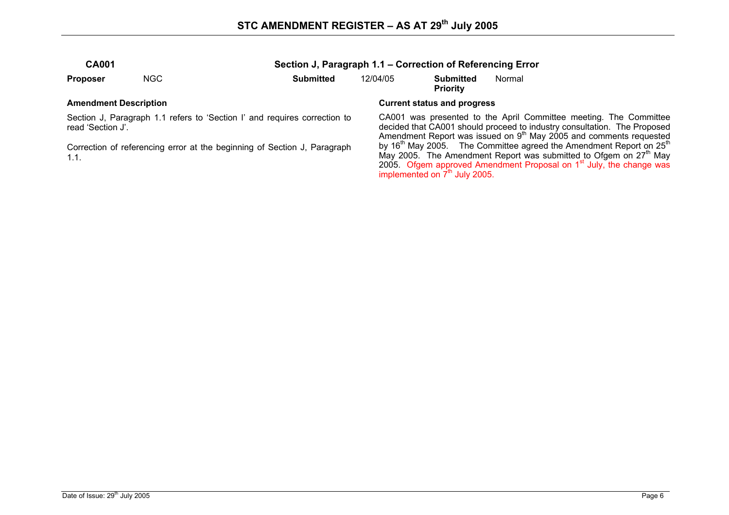| <b>CA001</b>    |      |           | Section J, Paragraph 1.1 – Correction of Referencing Error |                              |        |  |  |  |
|-----------------|------|-----------|------------------------------------------------------------|------------------------------|--------|--|--|--|
| <b>Proposer</b> | NGC. | Submitted | 12/04/05                                                   | Submitted<br><b>Priority</b> | Normal |  |  |  |

Section J, Paragraph 1.1 refers to 'Section I' and requires correction to read 'Section J'.

Correction of referencing error at the beginning of Section J, Paragraph 1.1.

### Amendment Description **Amendment Description Current status and progress Current status and progress**

CA001 was presented to the April Committee meeting. The Committee decided that CA001 should proceed to industry consultation. The Proposed Amendment Report was issued on  $9<sup>th</sup>$  May 2005 and comments requested by 16<sup>th</sup> May 2005. The Committee agreed the Amendment Report on 25<sup>th</sup> May 2005. The Amendment Report was submitted to Ofgem on 27<sup>th</sup> May 2005. Ofgem approved Amendment Proposal on  $1<sup>st</sup>$  July, the change was implemented on 7<sup>th</sup> July 2005.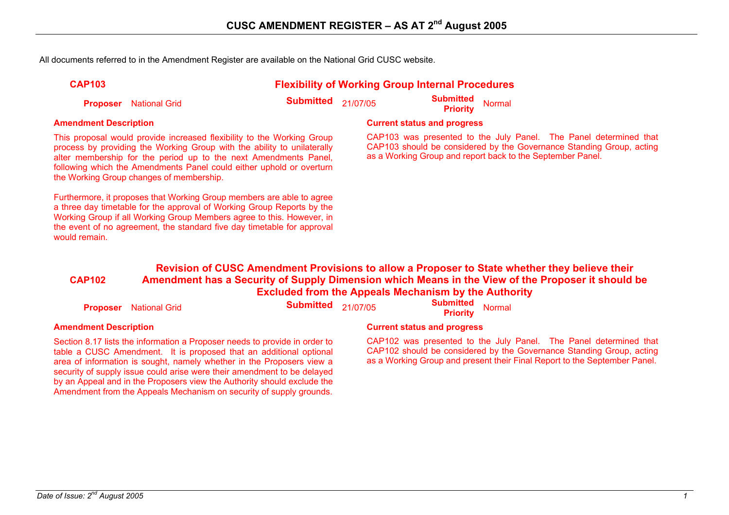All documents referred to in the Amendment Register are available on the National Grid CUSC website.

| <b>CAP103</b> |  |
|---------------|--|
|---------------|--|

### **Flexibility of Working Group Internal Procedures**

**Proposer** National Grid **Submitted** 21/07/05 **Submitted Priority** Normal

This proposal would provide increased flexibility to the Working Group process by providing the Working Group with the ability to unilaterally alter membership for the period up to the next Amendments Panel, following which the Amendments Panel could either uphold or overturn the Working Group changes of membership.

Furthermore, it proposes that Working Group members are able to agree a three day timetable for the approval of Working Group Reports by the Working Group if all Working Group Members agree to this. However, in the event of no agreement, the standard five day timetable for approval would remain

### **Amendment Description Current status and progress**

CAP103 was presented to the July Panel. The Panel determined that CAP103 should be considered by the Governance Standing Group, acting as a Working Group and report back to the September Panel.

#### **CAP102 Revision of CUSC Amendment Provisions to allow a Proposer to State whether they believe their Amendment has a Security of Supply Dimension which Means in the View of the Proposer it should be Excluded from the Appeals Mechanism by the Authority**

**Proposer** National Grid **Submitted** 21/07/05 **Submitted Priority** Normal

Section 8.17 lists the information a Proposer needs to provide in order to table a CUSC Amendment. It is proposed that an additional optional area of information is sought, namely whether in the Proposers view a security of supply issue could arise were their amendment to be delayed by an Appeal and in the Proposers view the Authority should exclude the Amendment from the Appeals Mechanism on security of supply grounds.

### **Amendment Description Current status and progress**

CAP102 was presented to the July Panel. The Panel determined that CAP102 should be considered by the Governance Standing Group, acting as a Working Group and present their Final Report to the September Panel.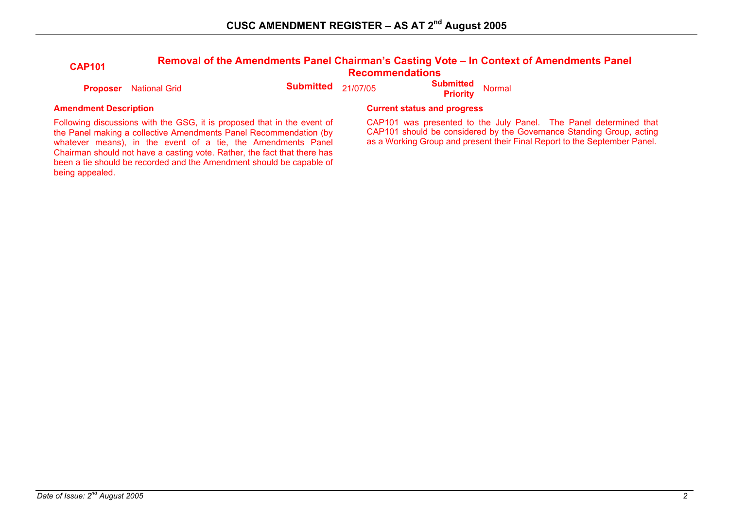| <b>CAP101</b> | Removal of the Amendments Panel Chairman's Casting Vote - In Context of Amendments Panel<br><b>Recommendations</b> |                                |  |                                                   |  |  |
|---------------|--------------------------------------------------------------------------------------------------------------------|--------------------------------|--|---------------------------------------------------|--|--|
|               | <b>Proposer</b> National Grid                                                                                      | <b>Submitted</b> $_{21/07/05}$ |  | <b>Submitted Normal</b><br><b>Priority</b> Normal |  |  |

Following discussions with the GSG, it is proposed that in the event of the Panel making a collective Amendments Panel Recommendation (by whatever means), in the event of a tie, the Amendments Panel Chairman should not have a casting vote. Rather, the fact that there has been a tie should be recorded and the Amendment should be capable of being appealed.

### **Amendment Description Current status and progress Amendment Description Current status and progress**

CAP101 was presented to the July Panel. The Panel determined that CAP101 should be considered by the Governance Standing Group, acting as a Working Group and present their Final Report to the September Panel.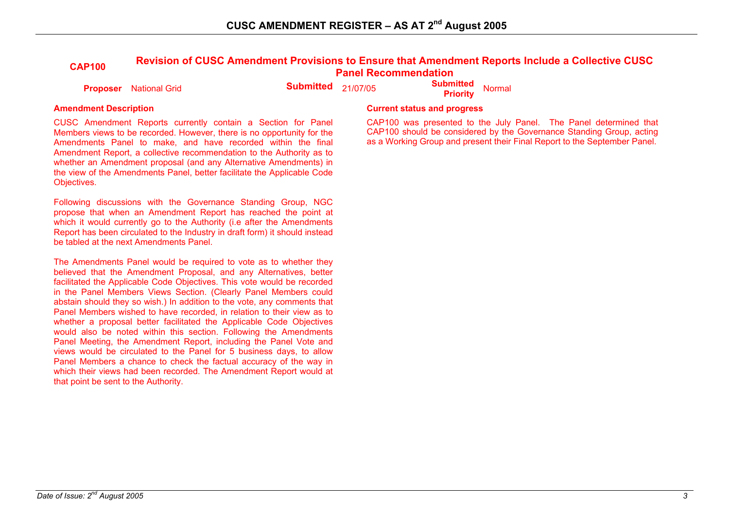# **CAP100 Revision of CUSC Amendment Provisions to Ensure that Amendment Reports Include a Collective CUSC Panel Recommendation**

**Proposer** National Grid **Submitted** 21/07/05 **Submitted Proposer** National Grid

CUSC Amendment Reports currently contain a Section for Panel Members views to be recorded. However, there is no opportunity for the Amendments Panel to make, and have recorded within the final Amendment Report, a collective recommendation to the Authority as to whether an Amendment proposal (and any Alternative Amendments) in the view of the Amendments Panel, better facilitate the Applicable Code Objectives.

Following discussions with the Governance Standing Group, NGC propose that when an Amendment Report has reached the point at which it would currently go to the Authority (i.e after the Amendments Report has been circulated to the Industry in draft form) it should instead be tabled at the next Amendments Panel.

The Amendments Panel would be required to vote as to whether they believed that the Amendment Proposal, and any Alternatives, better facilitated the Applicable Code Objectives. This vote would be recorded in the Panel Members Views Section. (Clearly Panel Members could abstain should they so wish.) In addition to the vote, any comments that Panel Members wished to have recorded, in relation to their view as to whether a proposal better facilitated the Applicable Code Objectives would also be noted within this section. Following the Amendments Panel Meeting, the Amendment Report, including the Panel Vote and views would be circulated to the Panel for 5 business days, to allow Panel Members a chance to check the factual accuracy of the way in which their views had been recorded. The Amendment Report would at that point be sent to the Authority.

#### **Amendment Description Current status and progress**

CAP100 was presented to the July Panel. The Panel determined that CAP100 should be considered by the Governance Standing Group, acting as a Working Group and present their Final Report to the September Panel.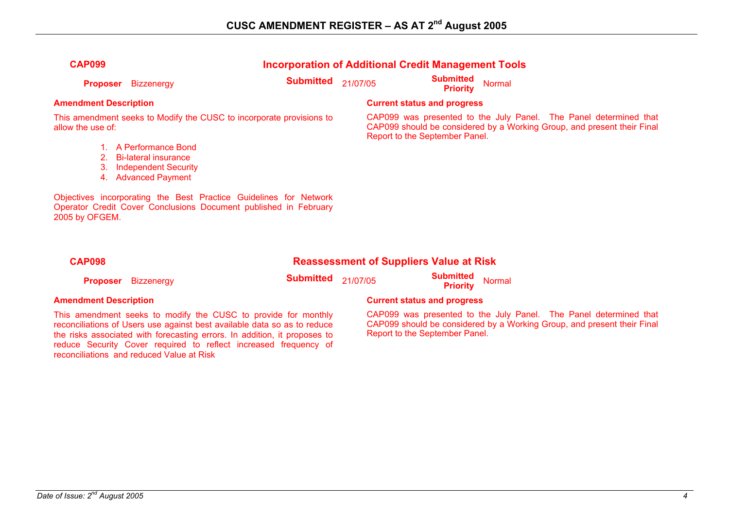| <b>Incorporation of Additional Credit Management Tools</b><br><b>CAP099</b> |                             |                                                                      |          |                                     |                                                                                                                                              |
|-----------------------------------------------------------------------------|-----------------------------|----------------------------------------------------------------------|----------|-------------------------------------|----------------------------------------------------------------------------------------------------------------------------------------------|
| <b>Proposer</b>                                                             | <b>Bizzenergy</b>           | <b>Submitted</b>                                                     | 21/07/05 | <b>Submitted</b><br><b>Priority</b> | Normal                                                                                                                                       |
| <b>Amendment Description</b>                                                |                             |                                                                      |          | <b>Current status and progress</b>  |                                                                                                                                              |
| allow the use of:                                                           |                             | This amendment seeks to Modify the CUSC to incorporate provisions to |          | Report to the September Panel.      | CAP099 was presented to the July Panel. The Panel determined that<br>CAP099 should be considered by a Working Group, and present their Final |
|                                                                             | A Performance Bond          |                                                                      |          |                                     |                                                                                                                                              |
|                                                                             | <b>Bi-lateral insurance</b> |                                                                      |          |                                     |                                                                                                                                              |
| 3.                                                                          | <b>Independent Security</b> |                                                                      |          |                                     |                                                                                                                                              |
| 4.                                                                          | <b>Advanced Payment</b>     |                                                                      |          |                                     |                                                                                                                                              |
|                                                                             |                             | Objectives incorporating the Best Practice Guidelines for Network    |          |                                     |                                                                                                                                              |

Objectives incorporating the Best Practice Guidelines for Network Operator Credit Cover Conclusions Document published in February 2005 by OFGEM.

#### **CAP098 Reassessment of Suppliers Value at Risk**

**Proposer** Bizzenergy **Submitted** 21/07/05 **Submitted Proposer** Bizzenergy **Submitted** 21/07/05 **Submitted** Priority

This amendment seeks to modify the CUSC to provide for monthly reconciliations of Users use against best available data so as to reduce the risks associated with forecasting errors. In addition, it proposes to reduce Security Cover required to reflect increased frequency of reconciliations and reduced Value at Risk

### **Amendment Description Current status and progress**

CAP099 was presented to the July Panel. The Panel determined that CAP099 should be considered by a Working Group, and present their Final Report to the September Panel.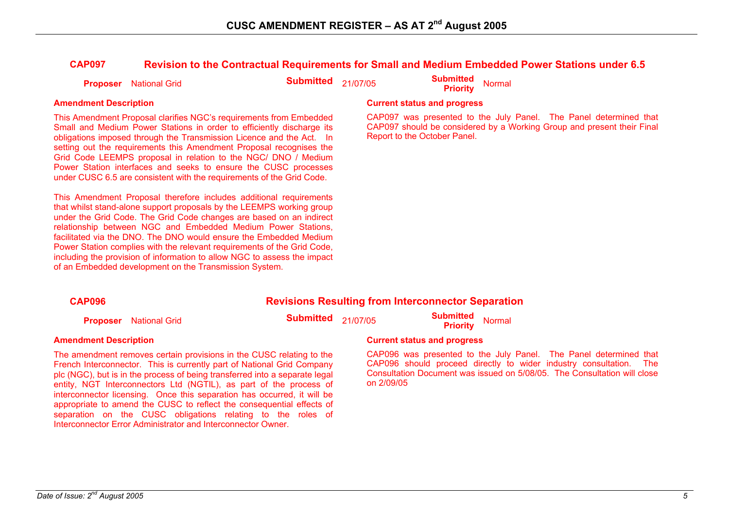### **CAP097 Revision to the Contractual Requirements for Small and Medium Embedded Power Stations under 6.5**

| <b>Submitted</b> Normal<br><b>Submitted</b> 21/07/05<br><b>Proposer</b> National Grid<br><b>Priority</b> |
|----------------------------------------------------------------------------------------------------------|
|----------------------------------------------------------------------------------------------------------|

This Amendment Proposal clarifies NGC's requirements from Embedded Small and Medium Power Stations in order to efficiently discharge its obligations imposed through the Transmission Licence and the Act. In setting out the requirements this Amendment Proposal recognises the Grid Code LEEMPS proposal in relation to the NGC/ DNO / Medium Power Station interfaces and seeks to ensure the CUSC processes under CUSC 6.5 are consistent with the requirements of the Grid Code.

This Amendment Proposal therefore includes additional requirements that whilst stand-alone support proposals by the LEEMPS working group under the Grid Code. The Grid Code changes are based on an indirect relationship between NGC and Embedded Medium Power Stations, facilitated via the DNO. The DNO would ensure the Embedded Medium Power Station complies with the relevant requirements of the Grid Code, including the provision of information to allow NGC to assess the impact of an Embedded development on the Transmission System.

interconnector licensing. Once this separation has occurred, it will be appropriate to amend the CUSC to reflect the consequential effects of separation on the CUSC obligations relating to the roles of

Interconnector Error Administrator and Interconnector Owner.

#### **Amendment Description Current status and progress**

CAP097 was presented to the July Panel. The Panel determined that CAP097 should be considered by a Working Group and present their Final Report to the October Panel.

#### **CAP096 Revisions Resulting from Interconnector Separation Proposer** National Grid **Submitted** 21/07/05 **Submitted Priority** Normal **Amendment Description Current status and progress**  The amendment removes certain provisions in the CUSC relating to the French Interconnector. This is currently part of National Grid Company plc (NGC), but is in the process of being transferred into a separate legal entity, NGT Interconnectors Ltd (NGTIL), as part of the process of CAP096 was presented to the July Panel. The Panel determined that CAP096 should proceed directly to wider industry consultation. The Consultation Document was issued on 5/08/05. The Consultation will close on 2/09/05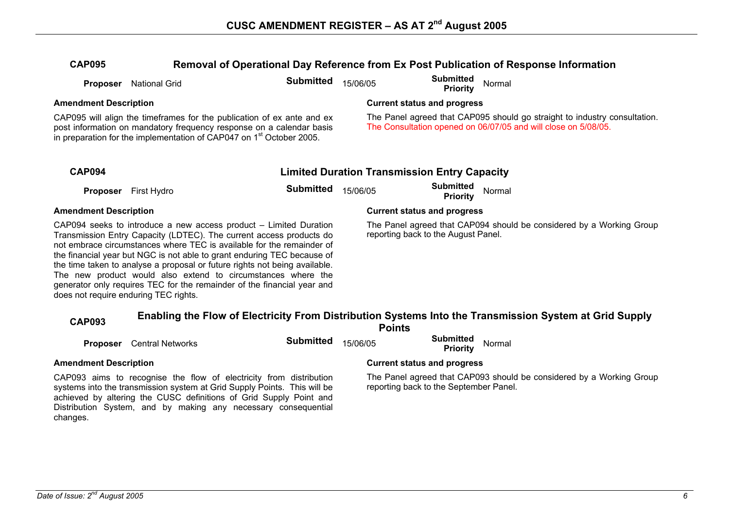### **CAP095 Removal of Operational Day Reference from Ex Post Publication of Response Information**

| <b>CAP095</b>                                                                                                                                                                                                                                                                                                                                                                                                                                                                                                                                                  | Removal of Operational Day Reference from Ex Post Publication of Response Information |                  |                                                                                                                                             |                                                     |                                                                                                        |  |  |
|----------------------------------------------------------------------------------------------------------------------------------------------------------------------------------------------------------------------------------------------------------------------------------------------------------------------------------------------------------------------------------------------------------------------------------------------------------------------------------------------------------------------------------------------------------------|---------------------------------------------------------------------------------------|------------------|---------------------------------------------------------------------------------------------------------------------------------------------|-----------------------------------------------------|--------------------------------------------------------------------------------------------------------|--|--|
|                                                                                                                                                                                                                                                                                                                                                                                                                                                                                                                                                                | Proposer National Grid                                                                | <b>Submitted</b> | 15/06/05                                                                                                                                    | <b>Submitted</b><br><b>Priority</b>                 | Normal                                                                                                 |  |  |
| <b>Amendment Description</b>                                                                                                                                                                                                                                                                                                                                                                                                                                                                                                                                   |                                                                                       |                  |                                                                                                                                             | <b>Current status and progress</b>                  |                                                                                                        |  |  |
| CAP095 will align the timeframes for the publication of ex ante and ex<br>post information on mandatory frequency response on a calendar basis<br>in preparation for the implementation of CAP047 on 1 <sup>st</sup> October 2005.                                                                                                                                                                                                                                                                                                                             |                                                                                       |                  | The Panel agreed that CAP095 should go straight to industry consultation.<br>The Consultation opened on 06/07/05 and will close on 5/08/05. |                                                     |                                                                                                        |  |  |
| <b>CAP094</b>                                                                                                                                                                                                                                                                                                                                                                                                                                                                                                                                                  |                                                                                       |                  |                                                                                                                                             | <b>Limited Duration Transmission Entry Capacity</b> |                                                                                                        |  |  |
|                                                                                                                                                                                                                                                                                                                                                                                                                                                                                                                                                                | <b>Proposer</b> First Hydro                                                           | <b>Submitted</b> | 15/06/05                                                                                                                                    | <b>Submitted</b><br><b>Priority</b>                 | Normal                                                                                                 |  |  |
| <b>Amendment Description</b>                                                                                                                                                                                                                                                                                                                                                                                                                                                                                                                                   |                                                                                       |                  | <b>Current status and progress</b>                                                                                                          |                                                     |                                                                                                        |  |  |
| CAP094 seeks to introduce a new access product – Limited Duration<br>Transmission Entry Capacity (LDTEC). The current access products do<br>not embrace circumstances where TEC is available for the remainder of<br>the financial year but NGC is not able to grant enduring TEC because of<br>the time taken to analyse a proposal or future rights not being available.<br>The new product would also extend to circumstances where the<br>generator only requires TEC for the remainder of the financial year and<br>does not require enduring TEC rights. |                                                                                       |                  | The Panel agreed that CAP094 should be considered by a Working Group<br>reporting back to the August Panel.                                 |                                                     |                                                                                                        |  |  |
| <b>CAP093</b>                                                                                                                                                                                                                                                                                                                                                                                                                                                                                                                                                  |                                                                                       |                  |                                                                                                                                             | <b>Points</b>                                       | Enabling the Flow of Electricity From Distribution Systems Into the Transmission System at Grid Supply |  |  |
|                                                                                                                                                                                                                                                                                                                                                                                                                                                                                                                                                                | <b>Proposer</b> Central Networks                                                      | <b>Submitted</b> | 15/06/05                                                                                                                                    | <b>Submitted</b><br><b>Priority</b>                 | Normal                                                                                                 |  |  |
| <b>Amendment Description</b>                                                                                                                                                                                                                                                                                                                                                                                                                                                                                                                                   |                                                                                       |                  | <b>Current status and progress</b>                                                                                                          |                                                     |                                                                                                        |  |  |
| CAP093 aims to recognise the flow of electricity from distribution<br>systems into the transmission system at Grid Supply Points. This will be<br>achieved by altering the CUSC definitions of Grid Supply Point and<br>Distribution System, and by making any necessary consequential                                                                                                                                                                                                                                                                         |                                                                                       |                  | The Panel agreed that CAP093 should be considered by a Working Group<br>reporting back to the September Panel.                              |                                                     |                                                                                                        |  |  |

changes.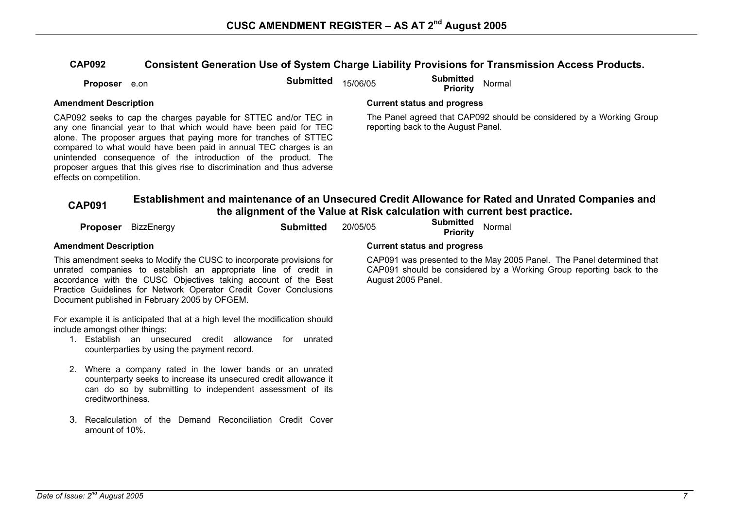### **CAP092 Consistent Generation Use of System Charge Liability Provisions for Transmission Access Products.**

| <b>Proposer</b> e.on |  | Submitted $15/06/05$ |  | <b>Submitted</b> Normal<br><b>Priority</b> |  |
|----------------------|--|----------------------|--|--------------------------------------------|--|
|----------------------|--|----------------------|--|--------------------------------------------|--|

CAP092 seeks to cap the charges payable for STTEC and/or TEC in any one financial year to that which would have been paid for TEC alone. The proposer argues that paying more for tranches of STTEC compared to what would have been paid in annual TEC charges is an unintended consequence of the introduction of the product. The proposer argues that this gives rise to discrimination and thus adverse effects on competition.

#### Amendment Description **Amendment Description Current status and progress**

The Panel agreed that CAP092 should be considered by a Working Group reporting back to the August Panel.

# **CAP091 Establishment and maintenance of an Unsecured Credit Allowance for Rated and Unrated Companies and the alignment of the Value at Risk calculation with current best practice.**

|               |                               | Proposer BizzEnergy                                                                                                                                                                                                                                                                                                              | <b>Submitted</b> | 20/05/05 |                                    | <b>Submitted</b><br><b>Priority</b> | Normal                                                                                                                                        |
|---------------|-------------------------------|----------------------------------------------------------------------------------------------------------------------------------------------------------------------------------------------------------------------------------------------------------------------------------------------------------------------------------|------------------|----------|------------------------------------|-------------------------------------|-----------------------------------------------------------------------------------------------------------------------------------------------|
|               | <b>Amendment Description</b>  |                                                                                                                                                                                                                                                                                                                                  |                  |          | <b>Current status and progress</b> |                                     |                                                                                                                                               |
|               |                               | This amendment seeks to Modify the CUSC to incorporate provisions for<br>unrated companies to establish an appropriate line of credit in<br>accordance with the CUSC Objectives taking account of the Best<br>Practice Guidelines for Network Operator Credit Cover Conclusions<br>Document published in February 2005 by OFGEM. |                  |          | August 2005 Panel.                 |                                     | CAP091 was presented to the May 2005 Panel. The Panel determined that<br>CAP091 should be considered by a Working Group reporting back to the |
|               | include amongst other things: | For example it is anticipated that at a high level the modification should<br>Establish an unsecured credit allowance<br>counterparties by using the payment record.                                                                                                                                                             | unrated<br>for   |          |                                    |                                     |                                                                                                                                               |
| <sup>2.</sup> | creditworthiness.             | Where a company rated in the lower bands or an unrated<br>counterparty seeks to increase its unsecured credit allowance it<br>can do so by submitting to independent assessment of its                                                                                                                                           |                  |          |                                    |                                     |                                                                                                                                               |
|               | amount of 10%.                | Recalculation of the Demand Reconciliation Credit Cover                                                                                                                                                                                                                                                                          |                  |          |                                    |                                     |                                                                                                                                               |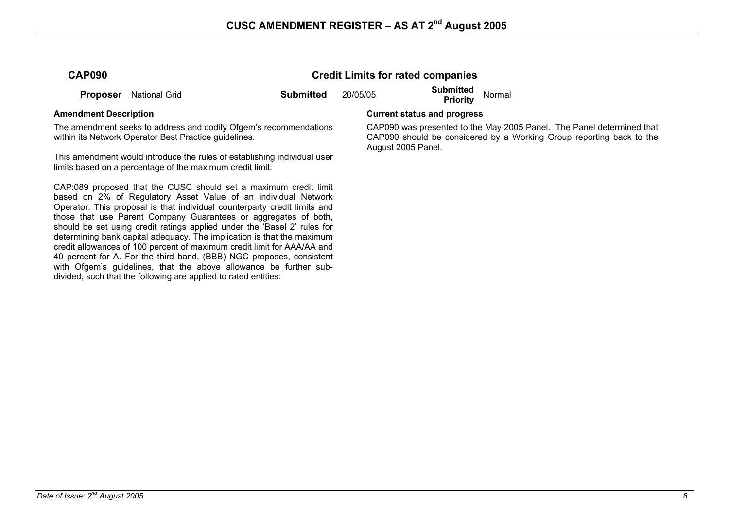**Credit Limits for rated companies** 

| <b>CAP090</b> |  |
|---------------|--|
|---------------|--|

**Proposer** National Grid **Submitted** 20/05/05 **Submitted Proposer** National Grid

The amendment seeks to address and codify Ofgem's recommendations within its Network Operator Best Practice quidelines.

This amendment would introduce the rules of establishing individual user limits based on a percentage of the maximum credit limit.

CAP:089 proposed that the CUSC should set a maximum credit limit based on 2% of Regulatory Asset Value of an individual Network Operator. This proposal is that individual counterparty credit limits and those that use Parent Company Guarantees or aggregates of both, should be set using credit ratings applied under the 'Basel 2' rules for determining bank capital adequacy. The implication is that the maximum credit allowances of 100 percent of maximum credit limit for AAA/AA and 40 percent for A. For the third band, (BBB) NGC proposes, consistent with Ofgem's guidelines, that the above allowance be further subdivided, such that the following are applied to rated entities:

#### **Amendment Description Current status and progress**

 CAP090 was presented to the May 2005 Panel. The Panel determined that CAP090 should be considered by a Working Group reporting back to the August 2005 Panel.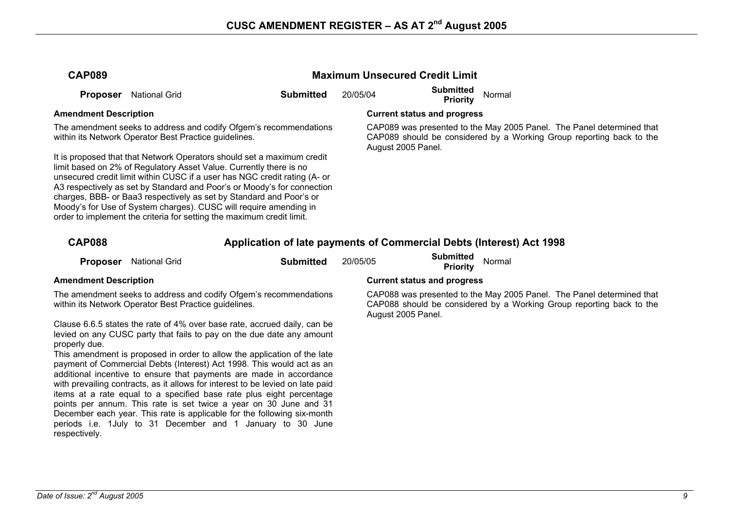| <b>CAP089</b>                                                                                                                                                                                                                                                                                                                                                                                                                                                                                                             |                                                       |                                                                                                                                                   | <b>Maximum Unsecured Credit Limit</b> |                                    |                                                                                                                                               |  |  |
|---------------------------------------------------------------------------------------------------------------------------------------------------------------------------------------------------------------------------------------------------------------------------------------------------------------------------------------------------------------------------------------------------------------------------------------------------------------------------------------------------------------------------|-------------------------------------------------------|---------------------------------------------------------------------------------------------------------------------------------------------------|---------------------------------------|------------------------------------|-----------------------------------------------------------------------------------------------------------------------------------------------|--|--|
| <b>Proposer</b>                                                                                                                                                                                                                                                                                                                                                                                                                                                                                                           | <b>National Grid</b>                                  | <b>Submitted</b>                                                                                                                                  | 20/05/04                              | <b>Submitted</b><br>Priority       | Normal                                                                                                                                        |  |  |
| <b>Amendment Description</b>                                                                                                                                                                                                                                                                                                                                                                                                                                                                                              |                                                       |                                                                                                                                                   |                                       | <b>Current status and progress</b> |                                                                                                                                               |  |  |
|                                                                                                                                                                                                                                                                                                                                                                                                                                                                                                                           | within its Network Operator Best Practice guidelines. | The amendment seeks to address and codify Ofgem's recommendations                                                                                 |                                       | August 2005 Panel.                 | CAP089 was presented to the May 2005 Panel. The Panel determined that<br>CAP089 should be considered by a Working Group reporting back to the |  |  |
| It is proposed that that Network Operators should set a maximum credit<br>limit based on 2% of Regulatory Asset Value. Currently there is no<br>unsecured credit limit within CUSC if a user has NGC credit rating (A- or<br>A3 respectively as set by Standard and Poor's or Moody's for connection<br>charges, BBB- or Baa3 respectively as set by Standard and Poor's or<br>Moody's for Use of System charges). CUSC will require amending in<br>order to implement the criteria for setting the maximum credit limit. |                                                       |                                                                                                                                                   |                                       |                                    |                                                                                                                                               |  |  |
| <b>CAP088</b>                                                                                                                                                                                                                                                                                                                                                                                                                                                                                                             |                                                       | Application of late payments of Commercial Debts (Interest) Act 1998                                                                              |                                       |                                    |                                                                                                                                               |  |  |
| <b>Proposer</b>                                                                                                                                                                                                                                                                                                                                                                                                                                                                                                           | <b>National Grid</b>                                  | <b>Submitted</b>                                                                                                                                  | 20/05/05                              | <b>Submitted</b><br>Priority       | Normal                                                                                                                                        |  |  |
| <b>Amendment Description</b>                                                                                                                                                                                                                                                                                                                                                                                                                                                                                              |                                                       |                                                                                                                                                   |                                       | <b>Current status and progress</b> |                                                                                                                                               |  |  |
| The amendment seeks to address and codify Ofgem's recommendations<br>within its Network Operator Best Practice guidelines.                                                                                                                                                                                                                                                                                                                                                                                                |                                                       |                                                                                                                                                   |                                       | August 2005 Panel.                 | CAP088 was presented to the May 2005 Panel. The Panel determined that<br>CAP088 should be considered by a Working Group reporting back to the |  |  |
| properly due.                                                                                                                                                                                                                                                                                                                                                                                                                                                                                                             |                                                       | Clause 6.6.5 states the rate of 4% over base rate, accrued daily, can be<br>levied on any CUSC party that fails to pay on the due date any amount |                                       |                                    |                                                                                                                                               |  |  |
|                                                                                                                                                                                                                                                                                                                                                                                                                                                                                                                           |                                                       | This amendment is proposed in order to allow the application of the late                                                                          |                                       |                                    |                                                                                                                                               |  |  |

payment of Commercial Debts (Interest) Act 1998. This would act as an additional incentive to ensure that payments are made in accordance with prevailing contracts, as it allows for interest to be levied on late paid items at a rate equal to a specified base rate plus eight percentage points per annum. This rate is set twice a year on 30 June and 31 December each year. This rate is applicable for the following six-month periods i.e. 1July to 31 December and 1 January to 30 June respectively.

## *Date of Issue:*  $2^{nd}$  August 2005 9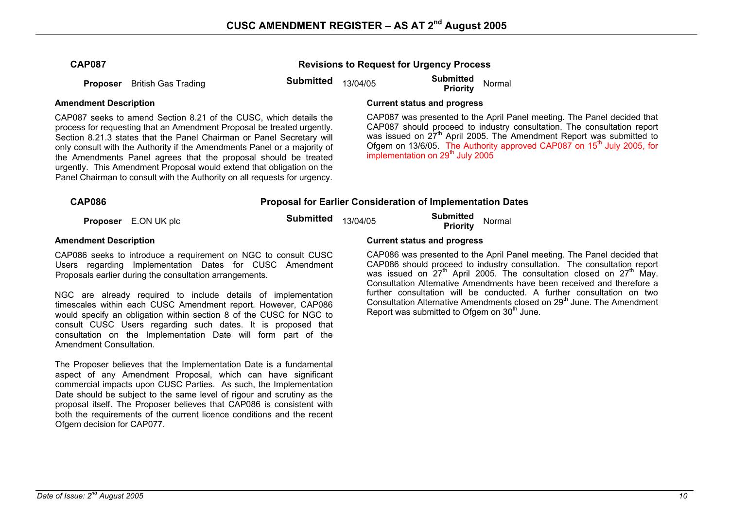**Revisions to Request for Urgency Process** 

**Proposer** British Gas Trading **Submitted** 13/04/05 **Submitted Proposer** British Gas Trading

CAP087 seeks to amend Section 8.21 of the CUSC, which details the process for requesting that an Amendment Proposal be treated urgently. Section 8.21.3 states that the Panel Chairman or Panel Secretary will only consult with the Authority if the Amendments Panel or a majority of the Amendments Panel agrees that the proposal should be treated urgently. This Amendment Proposal would extend that obligation on the Panel Chairman to consult with the Authority on all requests for urgency.

### **Amendment Description Current status and progress**

CAP087 was presented to the April Panel meeting. The Panel decided that CAP087 should proceed to industry consultation. The consultation report was issued on 27<sup>th</sup> April 2005. The Amendment Report was submitted to Ofgem on 13/6/05. The Authority approved CAP087 on 15<sup>th</sup> July 2005, for implementation on 29<sup>th</sup> July 2005

### **CAP086 Proposal for Earlier Consideration of Implementation Dates**

**Proposer** E.ON UK plc **Submitted** 13/04/05 **Submitted Proposer** E.ON UK plc

CAP086 seeks to introduce a requirement on NGC to consult CUSC Users regarding Implementation Dates for CUSC Amendment Proposals earlier during the consultation arrangements.

NGC are already required to include details of implementation timescales within each CUSC Amendment report. However, CAP086 would specify an obligation within section 8 of the CUSC for NGC to consult CUSC Users regarding such dates. It is proposed that consultation on the Implementation Date will form part of the Amendment Consultation.

The Proposer believes that the Implementation Date is a fundamental aspect of any Amendment Proposal, which can have significant commercial impacts upon CUSC Parties. As such, the Implementation Date should be subject to the same level of rigour and scrutiny as the proposal itself. The Proposer believes that CAP086 is consistent with both the requirements of the current licence conditions and the recent Ofgem decision for CAP077.

#### **Amendment Description Current status and progress**

CAP086 was presented to the April Panel meeting. The Panel decided that CAP086 should proceed to industry consultation. The consultation report was issued on  $27<sup>th</sup>$  April 2005. The consultation closed on  $27<sup>th</sup>$  May. Consultation Alternative Amendments have been received and therefore a further consultation will be conducted. A further consultation on two Consultation Alternative Amendments closed on 29<sup>th</sup> June. The Amendment Report was submitted to Ofgem on  $30<sup>th</sup>$  June.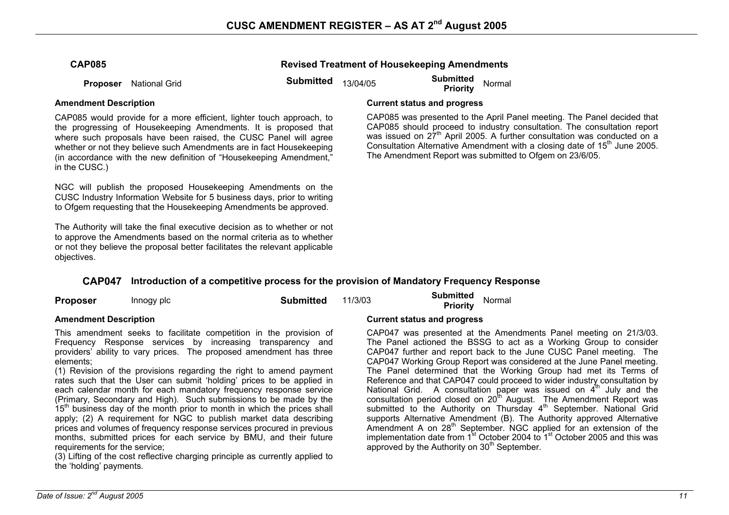### **Revised Treatment of Housekeeping Amendments**

**Proposer** National Grid **Submitted** 13/04/05 **Submitted Priority** Normal

### **Amendment Description Current status and progress**

CAP085 would provide for a more efficient, lighter touch approach, to the progressing of Housekeeping Amendments. It is proposed that where such proposals have been raised, the CUSC Panel will agree whether or not they believe such Amendments are in fact Housekeeping (in accordance with the new definition of "Housekeeping Amendment," in the CUSC.)

NGC will publish the proposed Housekeeping Amendments on the CUSC Industry Information Website for 5 business days, prior to writing to Ofgem requesting that the Housekeeping Amendments be approved.

The Authority will take the final executive decision as to whether or not to approve the Amendments based on the normal criteria as to whether or not they believe the proposal better facilitates the relevant applicable objectives.

CAP085 was presented to the April Panel meeting. The Panel decided that CAP085 should proceed to industry consultation. The consultation report

was issued on  $27<sup>th</sup>$  April 2005. A further consultation was conducted on a Consultation Alternative Amendment with a closing date of  $15<sup>th</sup>$  June 2005. The Amendment Report was submitted to Ofgem on 23/6/05.

## **CAP047 Introduction of a competitive process for the provision of Mandatory Frequency Response**

| <b>Proposer</b>              | Innogy plc | Submitted | 11/3/03 | Submitted<br>Normal<br><b>Priority</b> |
|------------------------------|------------|-----------|---------|----------------------------------------|
| <b>Amendment Description</b> |            |           |         | <b>Current status and progress</b>     |

This amendment seeks to facilitate competition in the provision of Frequency Response services by increasing transparency and providers' ability to vary prices. The proposed amendment has three elements;

(1) Revision of the provisions regarding the right to amend payment rates such that the User can submit 'holding' prices to be applied in each calendar month for each mandatory frequency response service (Primary, Secondary and High). Such submissions to be made by the  $15<sup>th</sup>$  business day of the month prior to month in which the prices shall apply; (2) A requirement for NGC to publish market data describing prices and volumes of frequency response services procured in previous months, submitted prices for each service by BMU, and their future requirements for the service;

(3) Lifting of the cost reflective charging principle as currently applied to the 'holding' payments.

CAP047 was presented at the Amendments Panel meeting on 21/3/03. The Panel actioned the BSSG to act as a Working Group to consider CAP047 further and report back to the June CUSC Panel meeting. The CAP047 Working Group Report was considered at the June Panel meeting. The Panel determined that the Working Group had met its Terms of Reference and that CAP047 could proceed to wider industry consultation by National Grid. A consultation paper was issued on  $4<sup>th</sup>$  July and the consultation period closed on 20<sup>th</sup> August. The Amendment Report was submitted to the Authority on Thursday  $4<sup>th</sup>$  September. National Grid supports Alternative Amendment (B). The Authority approved Alternative Amendment A on  $28<sup>th</sup>$  September. NGC applied for an extension of the implementation date from 1<sup>st</sup> October 2004 to 1<sup>st</sup> October 2005 and this was approved by the Authority on 30<sup>th</sup> September.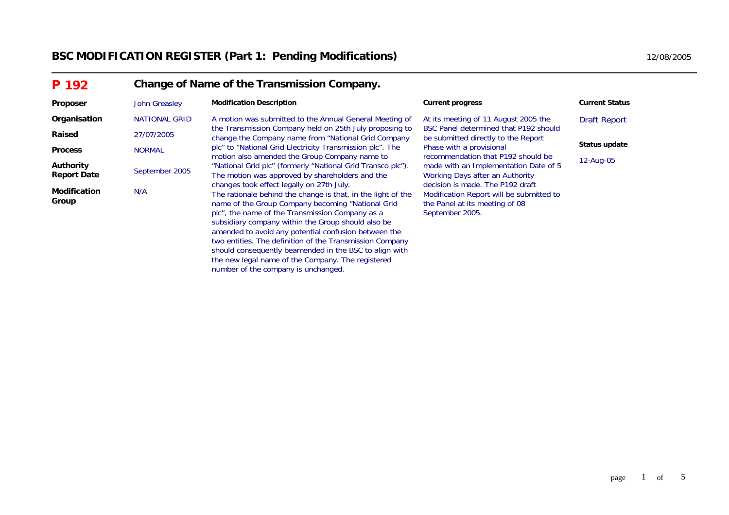# **BSC MODIFICATION REGISTER (Part 1: Pending Modifications)** 12/08/2005 12/08/2005

| P 192                                  | Change of Name of the Transmission Company. |                                                                                                                                                                                                                                                                                                                                                                                                                                                                                                             |                                                                                                                                                |                       |  |  |  |  |
|----------------------------------------|---------------------------------------------|-------------------------------------------------------------------------------------------------------------------------------------------------------------------------------------------------------------------------------------------------------------------------------------------------------------------------------------------------------------------------------------------------------------------------------------------------------------------------------------------------------------|------------------------------------------------------------------------------------------------------------------------------------------------|-----------------------|--|--|--|--|
| Proposer                               | John Greasley                               | <b>Modification Description</b>                                                                                                                                                                                                                                                                                                                                                                                                                                                                             | <b>Current progress</b>                                                                                                                        | <b>Current Status</b> |  |  |  |  |
| Organisation                           | NATIONAL GRID                               | A motion was submitted to the Annual General Meeting of                                                                                                                                                                                                                                                                                                                                                                                                                                                     | At its meeting of 11 August 2005 the                                                                                                           | <b>Draft Report</b>   |  |  |  |  |
| Raised                                 | 27/07/2005                                  | the Transmission Company held on 25th July proposing to<br>change the Company name from "National Grid Company<br>plc" to "National Grid Electricity Transmission plc". The<br>motion also amended the Group Company name to<br>"National Grid plc" (formerly "National Grid Transco plc").<br>The motion was approved by shareholders and the                                                                                                                                                              | BSC Panel determined that P192 should<br>be submitted directly to the Report<br>Phase with a provisional<br>recommendation that P192 should be |                       |  |  |  |  |
| <b>Process</b>                         | <b>NORMAL</b>                               |                                                                                                                                                                                                                                                                                                                                                                                                                                                                                                             |                                                                                                                                                | Status update         |  |  |  |  |
| <b>Authority</b><br><b>Report Date</b> | September 2005                              |                                                                                                                                                                                                                                                                                                                                                                                                                                                                                                             | made with an Implementation Date of 5<br>Working Days after an Authority                                                                       | 12-Aug-05             |  |  |  |  |
| <b>Modification</b><br>Group           | N/A                                         | changes took effect legally on 27th July.<br>The rationale behind the change is that, in the light of the<br>name of the Group Company becoming "National Grid"<br>plc", the name of the Transmission Company as a<br>subsidiary company within the Group should also be<br>amended to avoid any potential confusion between the<br>two entities. The definition of the Transmission Company<br>should consequently beamended in the BSC to align with<br>the new legal name of the Company. The registered | decision is made. The P192 draft<br>Modification Report will be submitted to<br>the Panel at its meeting of 08<br>September 2005.              |                       |  |  |  |  |

number of the company is unchanged.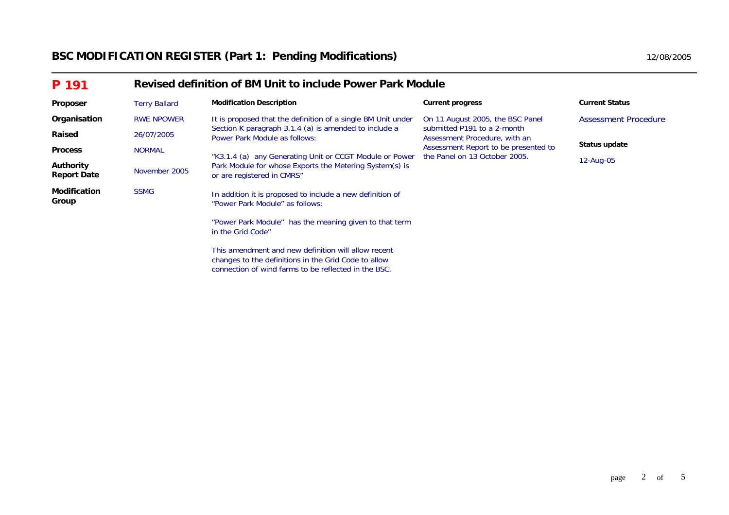# **BSC MODIFICATION REGISTER (Part 1: Pending Modifications)** 12/08/2005 12/08/2005

| P 191                           |                      | Revised definition of BM Unit to include Power Park Module                                                  |                                                                                                                                       |                       |  |  |  |  |  |
|---------------------------------|----------------------|-------------------------------------------------------------------------------------------------------------|---------------------------------------------------------------------------------------------------------------------------------------|-----------------------|--|--|--|--|--|
| Proposer                        | <b>Terry Ballard</b> | <b>Modification Description</b>                                                                             | <b>Current progress</b>                                                                                                               | <b>Current Status</b> |  |  |  |  |  |
| Organisation                    | <b>RWE NPOWER</b>    | It is proposed that the definition of a single BM Unit under                                                | On 11 August 2005, the BSC Panel                                                                                                      | Assessment Procedure  |  |  |  |  |  |
| Raised                          | 26/07/2005           | Section K paragraph 3.1.4 (a) is amended to include a<br>Power Park Module as follows:                      | submitted P191 to a 2-month<br>Assessment Procedure, with an<br>Assessment Report to be presented to<br>the Panel on 13 October 2005. | Status update         |  |  |  |  |  |
| <b>Process</b>                  | <b>NORMAL</b>        | "K3.1.4 (a) any Generating Unit or CCGT Module or Power                                                     |                                                                                                                                       |                       |  |  |  |  |  |
| Authority<br><b>Report Date</b> | November 2005        | Park Module for whose Exports the Metering System(s) is<br>or are registered in CMRS"                       |                                                                                                                                       | 12-Aug-05             |  |  |  |  |  |
| <b>Modification</b><br>Group    | <b>SSMG</b>          | In addition it is proposed to include a new definition of<br>"Power Park Module" as follows:                |                                                                                                                                       |                       |  |  |  |  |  |
|                                 |                      | "Power Park Module" has the meaning given to that term<br>in the Grid Code"                                 |                                                                                                                                       |                       |  |  |  |  |  |
|                                 |                      | This amendment and new definition will allow recent<br>changes to the definitions in the Grid Code to allow |                                                                                                                                       |                       |  |  |  |  |  |

connection of wind farms to be reflected in the BSC.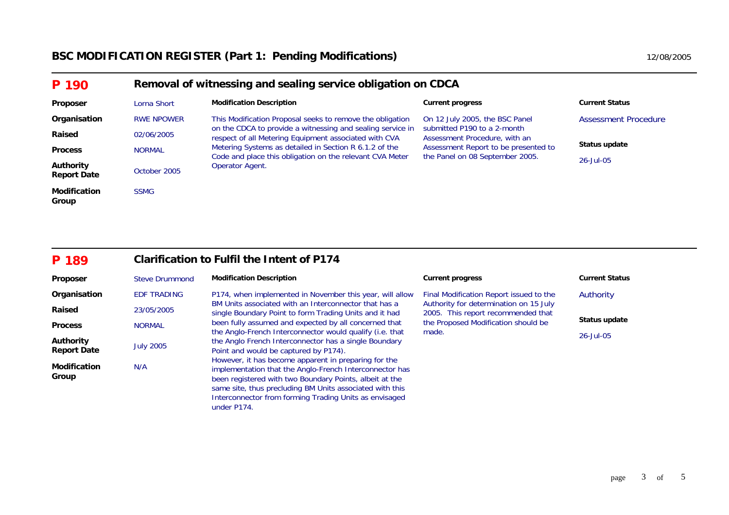| P 190                                  |                   | Removal of witnessing and sealing service obligation on CDCA                                                                                                                  |                                                                                                                                         |                             |  |  |  |  |  |
|----------------------------------------|-------------------|-------------------------------------------------------------------------------------------------------------------------------------------------------------------------------|-----------------------------------------------------------------------------------------------------------------------------------------|-----------------------------|--|--|--|--|--|
| Proposer                               | Lorna Short       | <b>Modification Description</b>                                                                                                                                               | <b>Current progress</b>                                                                                                                 | <b>Current Status</b>       |  |  |  |  |  |
| Organisation                           | <b>RWE NPOWER</b> | This Modification Proposal seeks to remove the obligation                                                                                                                     | On 12 July 2005, the BSC Panel                                                                                                          | <b>Assessment Procedure</b> |  |  |  |  |  |
| Raised                                 | 02/06/2005        | on the CDCA to provide a witnessing and sealing service in<br>respect of all Metering Equipment associated with CVA<br>Metering Systems as detailed in Section R 6.1.2 of the | submitted P190 to a 2-month<br>Assessment Procedure, with an<br>Assessment Report to be presented to<br>the Panel on 08 September 2005. |                             |  |  |  |  |  |
| <b>Process</b>                         | <b>NORMAL</b>     |                                                                                                                                                                               |                                                                                                                                         | Status update               |  |  |  |  |  |
| <b>Authority</b><br><b>Report Date</b> | October 2005      | Code and place this obligation on the relevant CVA Meter<br>Operator Agent.                                                                                                   |                                                                                                                                         | $26 -$ Jul $-05$            |  |  |  |  |  |
| <b>Modification</b><br>Group           | <b>SSMG</b>       |                                                                                                                                                                               |                                                                                                                                         |                             |  |  |  |  |  |

#### **P 189Clarification to Fulfil the Intent of P174**

| Proposer                     | <b>Steve Drummond</b> | <b>Modification Description</b>                                                                                                                                                                                                                                                                                 | <b>Current progress</b>                                                      | <b>Current Status</b> |  |
|------------------------------|-----------------------|-----------------------------------------------------------------------------------------------------------------------------------------------------------------------------------------------------------------------------------------------------------------------------------------------------------------|------------------------------------------------------------------------------|-----------------------|--|
| Organisation                 | <b>EDF TRADING</b>    | P174, when implemented in November this year, will allow                                                                                                                                                                                                                                                        | Final Modification Report issued to the                                      | Authority             |  |
| Raised                       | 23/05/2005            | BM Units associated with an Interconnector that has a<br>single Boundary Point to form Trading Units and it had                                                                                                                                                                                                 | Authority for determination on 15 July<br>2005. This report recommended that |                       |  |
| <b>Process</b>               | <b>NORMAL</b>         | been fully assumed and expected by all concerned that                                                                                                                                                                                                                                                           | the Proposed Modification should be                                          | Status update         |  |
|                              |                       | the Anglo-French Interconnector would qualify (i.e. that                                                                                                                                                                                                                                                        | made.                                                                        | 26-Jul-05             |  |
| <b>Authority</b>             |                       | the Anglo French Interconnector has a single Boundary                                                                                                                                                                                                                                                           |                                                                              |                       |  |
| <b>Report Date</b>           | <b>July 2005</b>      | Point and would be captured by P174).                                                                                                                                                                                                                                                                           |                                                                              |                       |  |
| <b>Modification</b><br>Group | N/A                   | However, it has become apparent in preparing for the<br>implementation that the Anglo-French Interconnector has<br>been registered with two Boundary Points, albeit at the<br>same site, thus precluding BM Units associated with this<br>Interconnector from forming Trading Units as envisaged<br>under P174. |                                                                              |                       |  |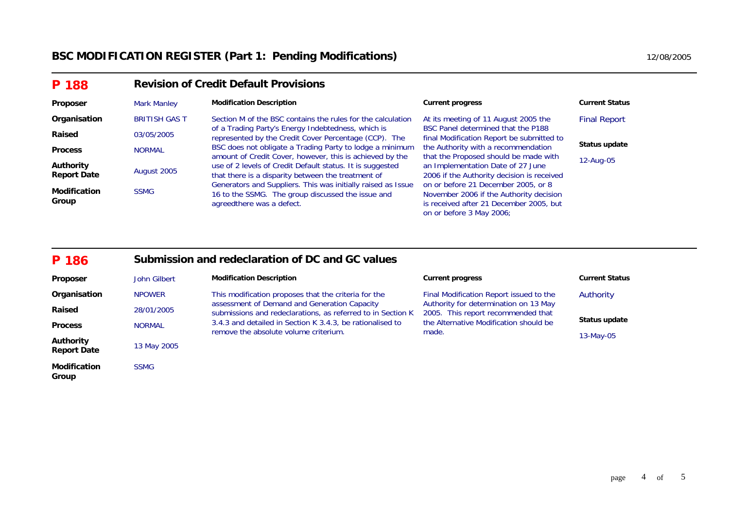| P 188                           | <b>Revision of Credit Default Provisions</b> |                                                                                                                                                 |                                                                                                                                                       |                       |  |  |  |
|---------------------------------|----------------------------------------------|-------------------------------------------------------------------------------------------------------------------------------------------------|-------------------------------------------------------------------------------------------------------------------------------------------------------|-----------------------|--|--|--|
| Proposer                        | <b>Mark Manley</b>                           | <b>Modification Description</b>                                                                                                                 | <b>Current progress</b>                                                                                                                               | <b>Current Status</b> |  |  |  |
| Organisation                    | <b>BRITISH GAS T</b>                         | Section M of the BSC contains the rules for the calculation                                                                                     | At its meeting of 11 August 2005 the                                                                                                                  | <b>Final Report</b>   |  |  |  |
| Raised                          | 03/05/2005                                   | of a Trading Party's Energy Indebtedness, which is<br>represented by the Credit Cover Percentage (CCP). The                                     | BSC Panel determined that the P188<br>final Modification Report be submitted to                                                                       |                       |  |  |  |
| <b>Process</b>                  | <b>NORMAL</b>                                | BSC does not obligate a Trading Party to lodge a minimum<br>amount of Credit Cover, however, this is achieved by the                            | the Authority with a recommendation<br>that the Proposed should be made with                                                                          | Status update         |  |  |  |
| Authority<br><b>Report Date</b> | August 2005                                  | use of 2 levels of Credit Default status. It is suggested<br>that there is a disparity between the treatment of                                 | an Implementation Date of 27 June<br>2006 if the Authority decision is received                                                                       | 12-Aug-05             |  |  |  |
| <b>Modification</b><br>Group    | <b>SSMG</b>                                  | Generators and Suppliers. This was initially raised as Issue<br>16 to the SSMG. The group discussed the issue and<br>agreed there was a defect. | on or before 21 December 2005, or 8<br>November 2006 if the Authority decision<br>is received after 21 December 2005, but<br>on or before 3 May 2006; |                       |  |  |  |

| P 186 | Submission and redeclaration of DC and GC values |
|-------|--------------------------------------------------|
|-------|--------------------------------------------------|

| Proposer                        | John Gilbert  | <b>Modification Description</b>                                                                             | <b>Current progress</b>                                                     | <b>Current Status</b> |
|---------------------------------|---------------|-------------------------------------------------------------------------------------------------------------|-----------------------------------------------------------------------------|-----------------------|
| Organisation                    | <b>NPOWER</b> | This modification proposes that the criteria for the                                                        | Final Modification Report issued to the                                     | Authority             |
| Raised                          | 28/01/2005    | assessment of Demand and Generation Capacity<br>submissions and redeclarations, as referred to in Section K | Authority for determination on 13 May<br>2005. This report recommended that |                       |
| <b>Process</b>                  | <b>NORMAL</b> | 3.4.3 and detailed in Section K 3.4.3, be rationalised to                                                   | the Alternative Modification should be                                      | Status update         |
| Authority<br><b>Report Date</b> | 13 May 2005   | remove the absolute volume criterium.                                                                       | made.                                                                       | $13-May-05$           |
| <b>Modification</b><br>Group    | <b>SSMG</b>   |                                                                                                             |                                                                             |                       |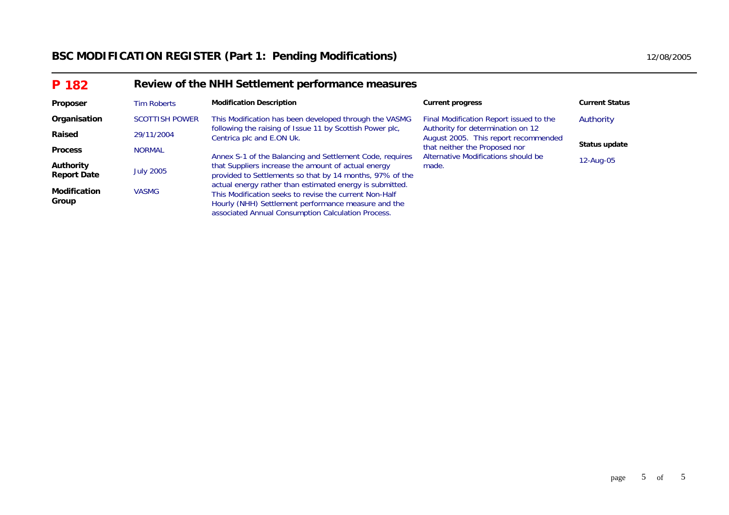# BSC MODIFICATION REGISTER (Part 1: Pending Modifications) **12/08/2005** 12/08/2005

| P 182                           | Review of the NHH Settlement performance measures |                                                                                                                                                                                                                                 |                                                                           |                       |  |  |  |
|---------------------------------|---------------------------------------------------|---------------------------------------------------------------------------------------------------------------------------------------------------------------------------------------------------------------------------------|---------------------------------------------------------------------------|-----------------------|--|--|--|
| Proposer                        | <b>Tim Roberts</b>                                | <b>Modification Description</b>                                                                                                                                                                                                 | <b>Current progress</b>                                                   | <b>Current Status</b> |  |  |  |
| Organisation                    | <b>SCOTTISH POWER</b>                             | This Modification has been developed through the VASMG                                                                                                                                                                          | Final Modification Report issued to the                                   | Authority             |  |  |  |
| Raised                          | 29/11/2004                                        | following the raising of Issue 11 by Scottish Power plc,<br>Centrica plc and E.ON Uk.                                                                                                                                           | Authority for determination on 12<br>August 2005. This report recommended |                       |  |  |  |
| <b>Process</b>                  | <b>NORMAL</b>                                     | Annex S-1 of the Balancing and Settlement Code, requires                                                                                                                                                                        | that neither the Proposed nor<br>Alternative Modifications should be      | Status update         |  |  |  |
| Authority<br><b>Report Date</b> | <b>July 2005</b>                                  | that Suppliers increase the amount of actual energy<br>provided to Settlements so that by 14 months, 97% of the                                                                                                                 | made.                                                                     | 12-Aug-05             |  |  |  |
| <b>Modification</b><br>Group    | <b>VASMG</b>                                      | actual energy rather than estimated energy is submitted.<br>This Modification seeks to revise the current Non-Half<br>Hourly (NHH) Settlement performance measure and the<br>associated Annual Consumption Calculation Process. |                                                                           |                       |  |  |  |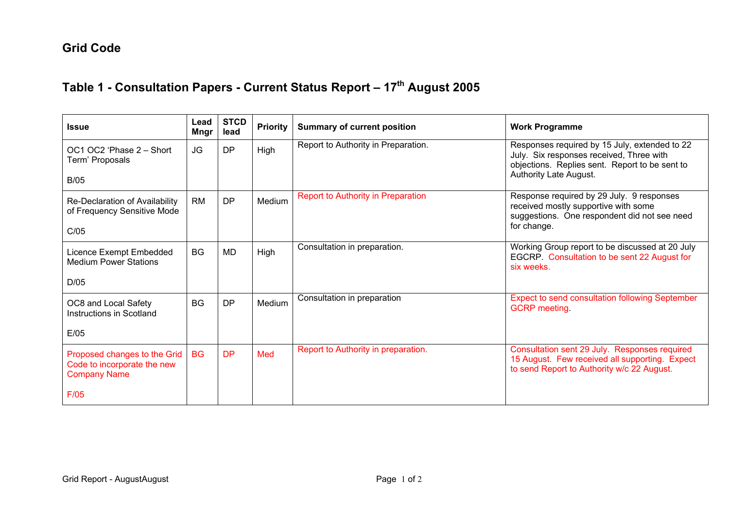# **Grid Code**

# **Table 1 - Consultation Papers - Current Status Report – 17th August 2005**

| <b>Issue</b>                                                                       | Lead<br>Mngr | <b>STCD</b><br>lead | <b>Priority</b> | <b>Summary of current position</b>        | <b>Work Programme</b>                                                                                                                                                 |
|------------------------------------------------------------------------------------|--------------|---------------------|-----------------|-------------------------------------------|-----------------------------------------------------------------------------------------------------------------------------------------------------------------------|
| OC1 OC2 'Phase 2 - Short<br>Term' Proposals                                        | <b>JG</b>    | DP                  | High            | Report to Authority in Preparation.       | Responses required by 15 July, extended to 22<br>July. Six responses received, Three with<br>objections. Replies sent. Report to be sent to<br>Authority Late August. |
| <b>B/05</b>                                                                        |              |                     |                 |                                           |                                                                                                                                                                       |
| Re-Declaration of Availability<br>of Frequency Sensitive Mode                      | <b>RM</b>    | DP                  | Medium          | <b>Report to Authority in Preparation</b> | Response required by 29 July. 9 responses<br>received mostly supportive with some<br>suggestions. One respondent did not see need                                     |
| C/05                                                                               |              |                     |                 |                                           | for change.                                                                                                                                                           |
| Licence Exempt Embedded<br><b>Medium Power Stations</b>                            | <b>BG</b>    | MD.                 | High            | Consultation in preparation.              | Working Group report to be discussed at 20 July<br>EGCRP. Consultation to be sent 22 August for<br>six weeks.                                                         |
| D/05                                                                               |              |                     |                 |                                           |                                                                                                                                                                       |
| OC8 and Local Safety<br>Instructions in Scotland                                   | <b>BG</b>    | DP                  | Medium          | Consultation in preparation               | <b>Expect to send consultation following September</b><br><b>GCRP</b> meeting.                                                                                        |
| E/05                                                                               |              |                     |                 |                                           |                                                                                                                                                                       |
| Proposed changes to the Grid<br>Code to incorporate the new<br><b>Company Name</b> | <b>BG</b>    | <b>DP</b>           | Med             | Report to Authority in preparation.       | Consultation sent 29 July. Responses required<br>15 August. Few received all supporting. Expect<br>to send Report to Authority w/c 22 August.                         |
| F/05                                                                               |              |                     |                 |                                           |                                                                                                                                                                       |